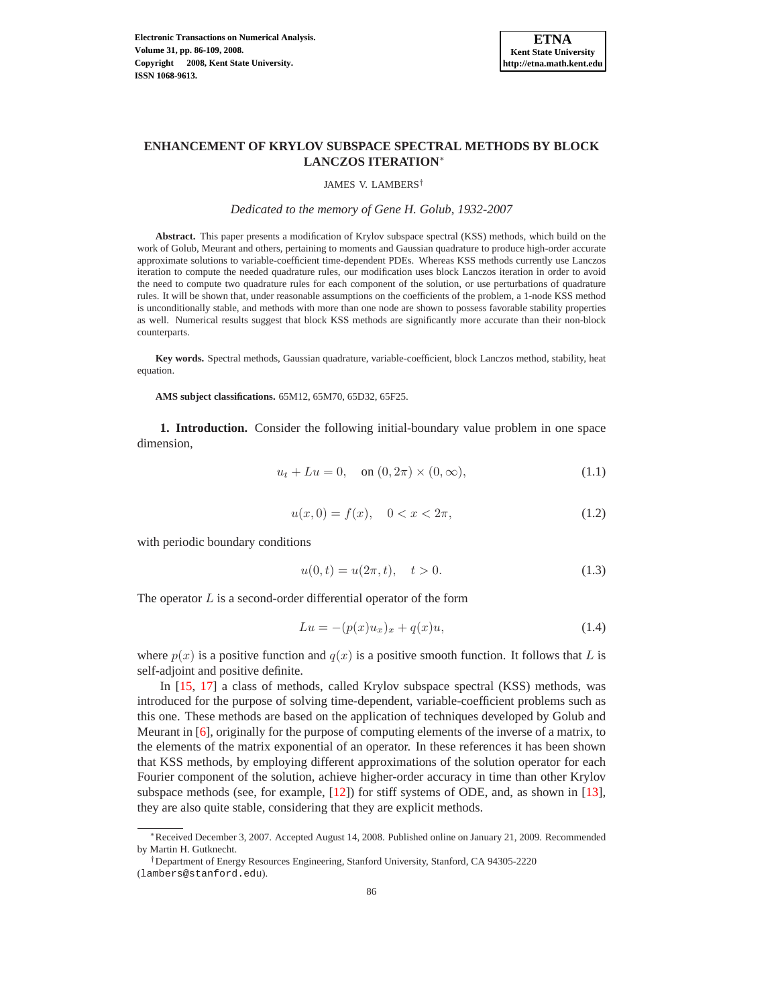

# **ENHANCEMENT OF KRYLOV SUBSPACE SPECTRAL METHODS BY BLOCK LANCZOS ITERATION**<sup>∗</sup>

#### JAMES V. LAMBERS†

#### *Dedicated to the memory of Gene H. Golub, 1932-2007*

**Abstract.** This paper presents a modification of Krylov subspace spectral (KSS) methods, which build on the work of Golub, Meurant and others, pertaining to moments and Gaussian quadrature to produce high-order accurate approximate solutions to variable-coefficient time-dependent PDEs. Whereas KSS methods currently use Lanczos iteration to compute the needed quadrature rules, our modification uses block Lanczos iteration in order to avoid the need to compute two quadrature rules for each component of the solution, or use perturbations of quadrature rules. It will be shown that, under reasonable assumptions on the coefficients of the problem, a 1-node KSS method is unconditionally stable, and methods with more than one node are shown to possess favorable stability properties as well. Numerical results suggest that block KSS methods are significantly more accurate than their non-block counterparts.

**Key words.** Spectral methods, Gaussian quadrature, variable-coefficient, block Lanczos method, stability, heat equation.

**AMS subject classifications.** 65M12, 65M70, 65D32, 65F25.

<span id="page-0-0"></span>**1. Introduction.** Consider the following initial-boundary value problem in one space dimension,

$$
u_t + Lu = 0, \quad \text{on } (0, 2\pi) \times (0, \infty), \tag{1.1}
$$

$$
u(x,0) = f(x), \quad 0 < x < 2\pi,\tag{1.2}
$$

<span id="page-0-1"></span>with periodic boundary conditions

$$
u(0,t) = u(2\pi, t), \quad t > 0.
$$
\n(1.3)

<span id="page-0-2"></span>The operator  $L$  is a second-order differential operator of the form

$$
Lu = -(p(x)u_x)_x + q(x)u,
$$
\n(1.4)

where  $p(x)$  is a positive function and  $q(x)$  is a positive smooth function. It follows that L is self-adjoint and positive definite.

In [\[15,](#page-22-0) [17\]](#page-22-1) a class of methods, called Krylov subspace spectral (KSS) methods, was introduced for the purpose of solving time-dependent, variable-coefficient problems such as this one. These methods are based on the application of techniques developed by Golub and Meurant in [\[6\]](#page-21-0), originally for the purpose of computing elements of the inverse of a matrix, to the elements of the matrix exponential of an operator. In these references it has been shown that KSS methods, by employing different approximations of the solution operator for each Fourier component of the solution, achieve higher-order accuracy in time than other Krylov subspace methods (see, for example, [\[12\]](#page-22-2)) for stiff systems of ODE, and, as shown in [\[13\]](#page-22-3), they are also quite stable, considering that they are explicit methods.

<sup>∗</sup>Received December 3, 2007. Accepted August 14, 2008. Published online on January 21, 2009. Recommended by Martin H. Gutknecht.

<sup>†</sup>Department of Energy Resources Engineering, Stanford University, Stanford, CA 94305-2220

<sup>(</sup>lambers@stanford.edu).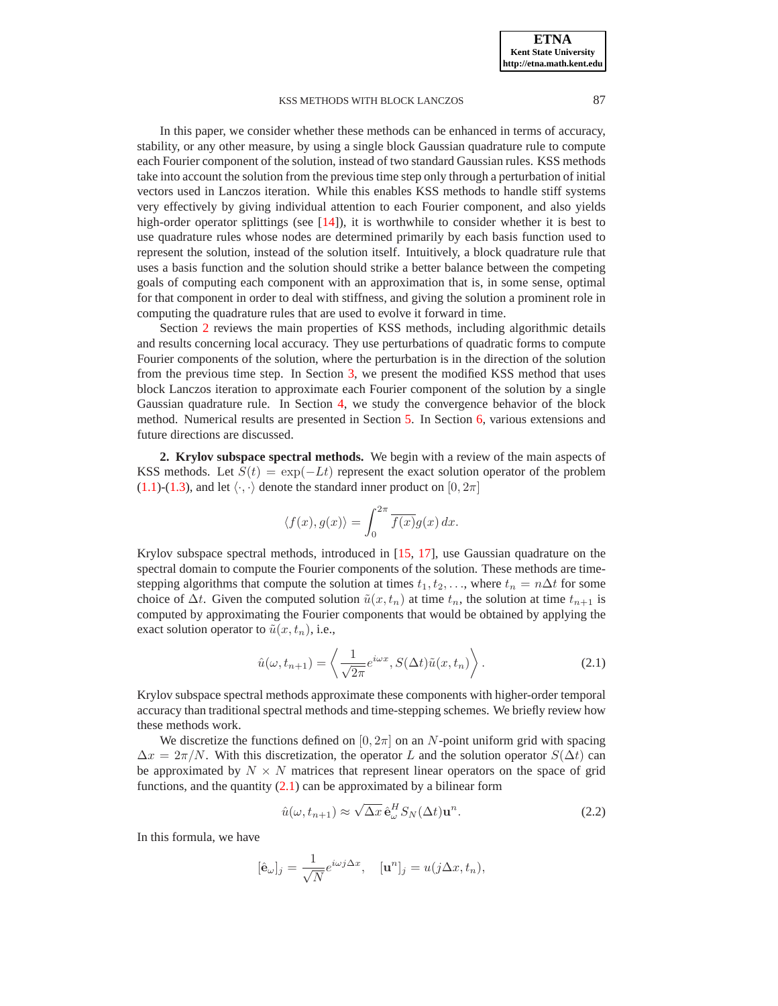In this paper, we consider whether these methods can be enhanced in terms of accuracy, stability, or any other measure, by using a single block Gaussian quadrature rule to compute each Fourier component of the solution, instead of two standard Gaussian rules. KSS methods take into account the solution from the previous time step only through a perturbation of initial vectors used in Lanczos iteration. While this enables KSS methods to handle stiff systems very effectively by giving individual attention to each Fourier component, and also yields high-order operator splittings (see  $[14]$ ), it is worthwhile to consider whether it is best to use quadrature rules whose nodes are determined primarily by each basis function used to represent the solution, instead of the solution itself. Intuitively, a block quadrature rule that uses a basis function and the solution should strike a better balance between the competing goals of computing each component with an approximation that is, in some sense, optimal for that component in order to deal with stiffness, and giving the solution a prominent role in computing the quadrature rules that are used to evolve it forward in time.

Section [2](#page-1-0) reviews the main properties of KSS methods, including algorithmic details and results concerning local accuracy. They use perturbations of quadratic forms to compute Fourier components of the solution, where the perturbation is in the direction of the solution from the previous time step. In Section [3,](#page-4-0) we present the modified KSS method that uses block Lanczos iteration to approximate each Fourier component of the solution by a single Gaussian quadrature rule. In Section [4,](#page-6-0) we study the convergence behavior of the block method. Numerical results are presented in Section [5.](#page-10-0) In Section [6,](#page-19-0) various extensions and future directions are discussed.

<span id="page-1-0"></span>**2. Krylov subspace spectral methods.** We begin with a review of the main aspects of KSS methods. Let  $S(t) = \exp(-Lt)$  represent the exact solution operator of the problem [\(1.1\)](#page-0-0)-[\(1.3\)](#page-0-1), and let  $\langle \cdot, \cdot \rangle$  denote the standard inner product on  $[0, 2\pi]$ 

$$
\langle f(x), g(x) \rangle = \int_0^{2\pi} \overline{f(x)} g(x) dx.
$$

Krylov subspace spectral methods, introduced in [\[15,](#page-22-0) [17\]](#page-22-1), use Gaussian quadrature on the spectral domain to compute the Fourier components of the solution. These methods are timestepping algorithms that compute the solution at times  $t_1, t_2, \ldots$ , where  $t_n = n\Delta t$  for some choice of  $\Delta t$ . Given the computed solution  $\tilde{u}(x, t_n)$  at time  $t_n$ , the solution at time  $t_{n+1}$  is computed by approximating the Fourier components that would be obtained by applying the exact solution operator to  $\tilde{u}(x, t_n)$ , i.e.,

$$
\hat{u}(\omega, t_{n+1}) = \left\langle \frac{1}{\sqrt{2\pi}} e^{i\omega x}, S(\Delta t)\tilde{u}(x, t_n) \right\rangle.
$$
\n(2.1)

<span id="page-1-1"></span>Krylov subspace spectral methods approximate these components with higher-order temporal accuracy than traditional spectral methods and time-stepping schemes. We briefly review how these methods work.

We discretize the functions defined on  $[0, 2\pi]$  on an N-point uniform grid with spacing  $\Delta x = 2\pi/N$ . With this discretization, the operator L and the solution operator  $S(\Delta t)$  can be approximated by  $N \times N$  matrices that represent linear operators on the space of grid functions, and the quantity  $(2.1)$  can be approximated by a bilinear form

$$
\hat{u}(\omega, t_{n+1}) \approx \sqrt{\Delta x} \,\hat{\mathbf{e}}_{\omega}^H S_N(\Delta t) \mathbf{u}^n. \tag{2.2}
$$

<span id="page-1-2"></span>In this formula, we have

$$
[\hat{\mathbf{e}}_{\omega}]_j = \frac{1}{\sqrt{N}} e^{i\omega j \Delta x}, \quad [\mathbf{u}^n]_j = u(j\Delta x, t_n),
$$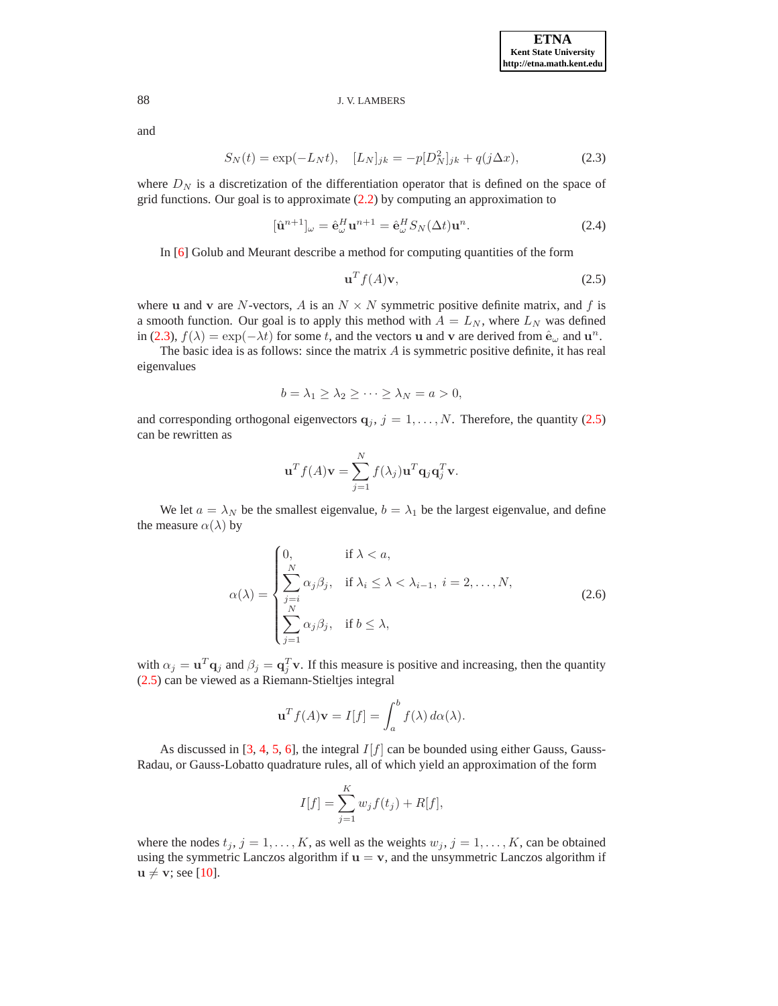<span id="page-2-0"></span>and

$$
S_N(t) = \exp(-L_N t), \quad [L_N]_{jk} = -p[D_N^2]_{jk} + q(j\Delta x), \tag{2.3}
$$

where  $D<sub>N</sub>$  is a discretization of the differentiation operator that is defined on the space of grid functions. Our goal is to approximate [\(2.2\)](#page-1-2) by computing an approximation to

<span id="page-2-1"></span>
$$
[\hat{\mathbf{u}}^{n+1}]_{\omega} = \hat{\mathbf{e}}_{\omega}^H \mathbf{u}^{n+1} = \hat{\mathbf{e}}_{\omega}^H S_N(\Delta t) \mathbf{u}^n.
$$
 (2.4)

In [\[6\]](#page-21-0) Golub and Meurant describe a method for computing quantities of the form

$$
\mathbf{u}^T f(A)\mathbf{v},\tag{2.5}
$$

where u and v are N-vectors, A is an  $N \times N$  symmetric positive definite matrix, and f is a smooth function. Our goal is to apply this method with  $A = L_N$ , where  $L_N$  was defined in [\(2.3\)](#page-2-0),  $f(\lambda) = \exp(-\lambda t)$  for some t, and the vectors **u** and **v** are derived from  $\hat{\mathbf{e}}_{\omega}$  and  $\mathbf{u}^{n}$ .

The basic idea is as follows: since the matrix  $\vec{A}$  is symmetric positive definite, it has real eigenvalues

$$
b = \lambda_1 \ge \lambda_2 \ge \cdots \ge \lambda_N = a > 0,
$$

and corresponding orthogonal eigenvectors  $q_j$ ,  $j = 1, ..., N$ . Therefore, the quantity [\(2.5\)](#page-2-1) can be rewritten as

$$
\mathbf{u}^T f(A)\mathbf{v} = \sum_{j=1}^N f(\lambda_j) \mathbf{u}^T \mathbf{q}_j \mathbf{q}_j^T \mathbf{v}.
$$

We let  $a = \lambda_N$  be the smallest eigenvalue,  $b = \lambda_1$  be the largest eigenvalue, and define the measure  $\alpha(\lambda)$  by

$$
\alpha(\lambda) = \begin{cases}\n0, & \text{if } \lambda < a, \\
\sum_{j=i}^{N} \alpha_j \beta_j, & \text{if } \lambda_i \leq \lambda < \lambda_{i-1}, i = 2, \dots, N, \\
\sum_{j=1}^{N} \alpha_j \beta_j, & \text{if } b \leq \lambda,\n\end{cases}
$$
\n(2.6)

<span id="page-2-2"></span>with  $\alpha_j = \mathbf{u}^T \mathbf{q}_j$  and  $\beta_j = \mathbf{q}_j^T \mathbf{v}$ . If this measure is positive and increasing, then the quantity [\(2.5\)](#page-2-1) can be viewed as a Riemann-Stieltjes integral

$$
\mathbf{u}^T f(A)\mathbf{v} = I[f] = \int_a^b f(\lambda) \, d\alpha(\lambda).
$$

As discussed in [\[3,](#page-21-1) [4,](#page-21-2) [5,](#page-21-3) [6\]](#page-21-0), the integral  $I[f]$  can be bounded using either Gauss, Gauss-Radau, or Gauss-Lobatto quadrature rules, all of which yield an approximation of the form

$$
I[f] = \sum_{j=1}^{K} w_j f(t_j) + R[f],
$$

where the nodes  $t_j$ ,  $j = 1, ..., K$ , as well as the weights  $w_j$ ,  $j = 1, ..., K$ , can be obtained using the symmetric Lanczos algorithm if  $u = v$ , and the unsymmetric Lanczos algorithm if  $u \neq v$ ; see [\[10\]](#page-21-4).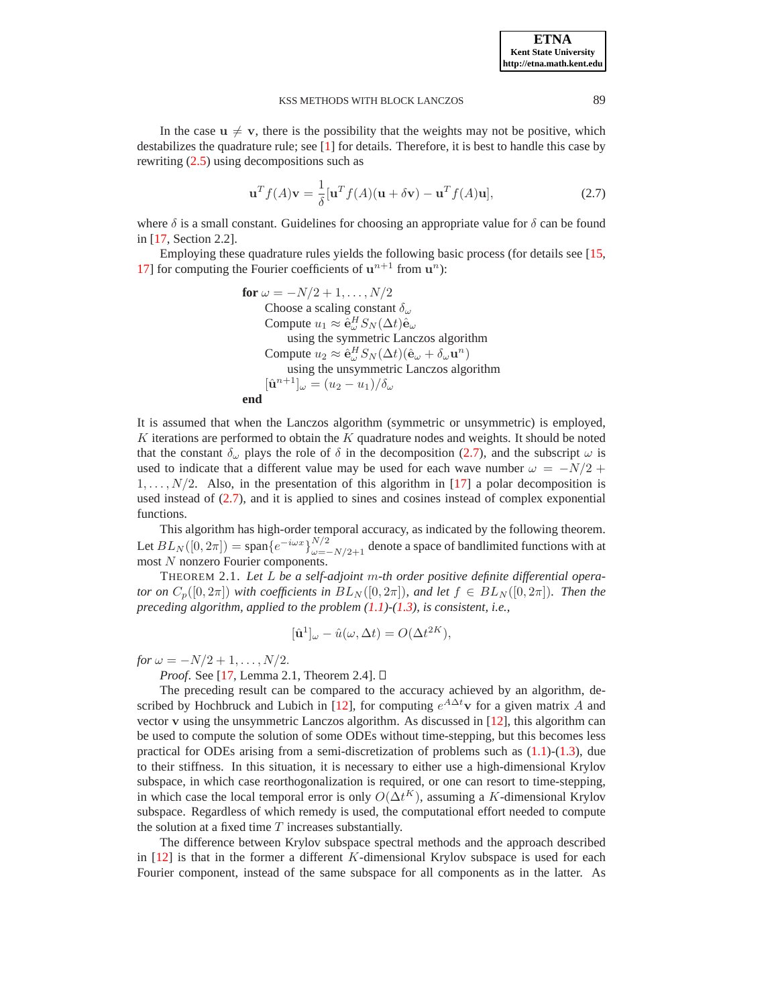In the case  $u \neq v$ , there is the possibility that the weights may not be positive, which destabilizes the quadrature rule; see [\[1\]](#page-21-5) for details. Therefore, it is best to handle this case by rewriting [\(2.5\)](#page-2-1) using decompositions such as

$$
\mathbf{u}^{T} f(A) \mathbf{v} = \frac{1}{\delta} [\mathbf{u}^{T} f(A) (\mathbf{u} + \delta \mathbf{v}) - \mathbf{u}^{T} f(A) \mathbf{u}], \qquad (2.7)
$$

<span id="page-3-0"></span>where  $\delta$  is a small constant. Guidelines for choosing an appropriate value for  $\delta$  can be found in [\[17,](#page-22-1) Section 2.2].

Employing these quadrature rules yields the following basic process (for details see [\[15,](#page-22-0) [17\]](#page-22-1) for computing the Fourier coefficients of  $u^{n+1}$  from  $u^n$ ):

**for** 
$$
\omega = -N/2 + 1, ..., N/2
$$
  
\nChoose a scaling constant  $\delta_{\omega}$   
\nCompute  $u_1 \approx \hat{e}_{\omega}^H S_N(\Delta t) \hat{e}_{\omega}$   
\nusing the symmetric Lanczos algorithm  
\nCompute  $u_2 \approx \hat{e}_{\omega}^H S_N(\Delta t) (\hat{e}_{\omega} + \delta_{\omega} \mathbf{u}^n)$   
\nusing the unsymmetric Lanczos algorithm  
\n $[\hat{\mathbf{u}}^{n+1}]_{\omega} = (u_2 - u_1)/\delta_{\omega}$   
\n**end**

It is assumed that when the Lanczos algorithm (symmetric or unsymmetric) is employed,  $K$  iterations are performed to obtain the  $K$  quadrature nodes and weights. It should be noted that the constant  $\delta_{\omega}$  plays the role of  $\delta$  in the decomposition [\(2.7\)](#page-3-0), and the subscript  $\omega$  is used to indicate that a different value may be used for each wave number  $\omega = -N/2 +$  $1, \ldots, N/2$ . Also, in the presentation of this algorithm in [\[17\]](#page-22-1) a polar decomposition is used instead of [\(2.7\)](#page-3-0), and it is applied to sines and cosines instead of complex exponential functions.

This algorithm has high-order temporal accuracy, as indicated by the following theorem. Let  $BL_N([0, 2\pi]) = \text{span}\{e^{-i\omega x}\}_{\omega=-N/2+1}^{N/2}$  denote a space of bandlimited functions with at most N nonzero Fourier components.

THEOREM 2.1. *Let* L *be a self-adjoint* m*-th order positive definite differential operator on*  $C_p([0, 2\pi])$  *with coefficients in*  $BL_N([0, 2\pi])$ *, and let*  $f \in BL_N([0, 2\pi])$ *. Then the preceding algorithm, applied to the problem [\(1.1\)](#page-0-0)-[\(1.3\)](#page-0-1), is consistent, i.e.,*

$$
[\hat{\mathbf{u}}^1]_{\omega} - \hat{u}(\omega, \Delta t) = O(\Delta t^{2K}),
$$

*for*  $\omega = -N/2 + 1, \ldots, N/2$ .

*Proof.* See [\[17,](#page-22-1) Lemma 2.1, Theorem 2.4]. □

The preceding result can be compared to the accuracy achieved by an algorithm, de-scribed by Hochbruck and Lubich in [\[12\]](#page-22-2), for computing  $e^{A\Delta t}$ **v** for a given matrix A and vector v using the unsymmetric Lanczos algorithm. As discussed in [\[12\]](#page-22-2), this algorithm can be used to compute the solution of some ODEs without time-stepping, but this becomes less practical for ODEs arising from a semi-discretization of problems such as  $(1.1)-(1.3)$  $(1.1)-(1.3)$ , due to their stiffness. In this situation, it is necessary to either use a high-dimensional Krylov subspace, in which case reorthogonalization is required, or one can resort to time-stepping, in which case the local temporal error is only  $O(\Delta t^K)$ , assuming a K-dimensional Krylov subspace. Regardless of which remedy is used, the computational effort needed to compute the solution at a fixed time  $T$  increases substantially.

The difference between Krylov subspace spectral methods and the approach described in  $[12]$  is that in the former a different K-dimensional Krylov subspace is used for each Fourier component, instead of the same subspace for all components as in the latter. As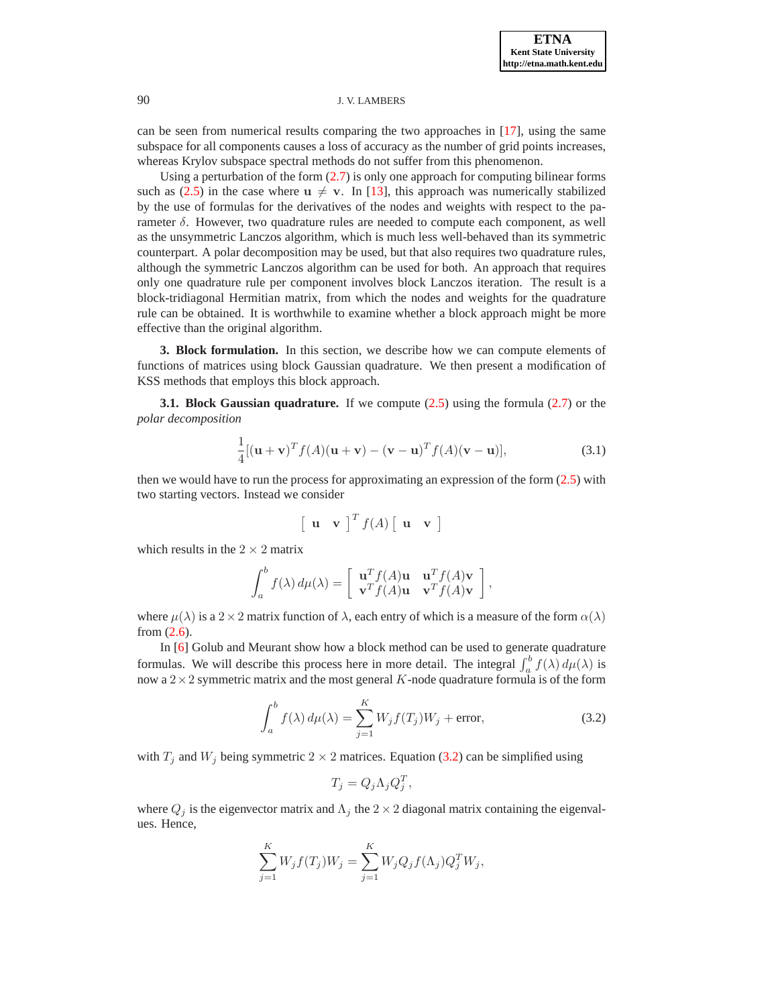can be seen from numerical results comparing the two approaches in [\[17\]](#page-22-1), using the same subspace for all components causes a loss of accuracy as the number of grid points increases, whereas Krylov subspace spectral methods do not suffer from this phenomenon.

Using a perturbation of the form  $(2.7)$  is only one approach for computing bilinear forms such as [\(2.5\)](#page-2-1) in the case where  $u \neq v$ . In [\[13\]](#page-22-3), this approach was numerically stabilized by the use of formulas for the derivatives of the nodes and weights with respect to the parameter  $\delta$ . However, two quadrature rules are needed to compute each component, as well as the unsymmetric Lanczos algorithm, which is much less well-behaved than its symmetric counterpart. A polar decomposition may be used, but that also requires two quadrature rules, although the symmetric Lanczos algorithm can be used for both. An approach that requires only one quadrature rule per component involves block Lanczos iteration. The result is a block-tridiagonal Hermitian matrix, from which the nodes and weights for the quadrature rule can be obtained. It is worthwhile to examine whether a block approach might be more effective than the original algorithm.

<span id="page-4-0"></span>**3. Block formulation.** In this section, we describe how we can compute elements of functions of matrices using block Gaussian quadrature. We then present a modification of KSS methods that employs this block approach.

<span id="page-4-2"></span>**3.1. Block Gaussian quadrature.** If we compute [\(2.5\)](#page-2-1) using the formula [\(2.7\)](#page-3-0) or the *polar decomposition*

$$
\frac{1}{4}[(\mathbf{u}+\mathbf{v})^T f(A)(\mathbf{u}+\mathbf{v})-(\mathbf{v}-\mathbf{u})^T f(A)(\mathbf{v}-\mathbf{u})],\tag{3.1}
$$

<span id="page-4-3"></span>then we would have to run the process for approximating an expression of the form [\(2.5\)](#page-2-1) with two starting vectors. Instead we consider

$$
\begin{bmatrix} \mathbf{u} & \mathbf{v} \end{bmatrix}^T f(A) \begin{bmatrix} \mathbf{u} & \mathbf{v} \end{bmatrix}
$$

which results in the  $2 \times 2$  matrix

$$
\int_a^b f(\lambda) d\mu(\lambda) = \begin{bmatrix} \mathbf{u}^T f(A) \mathbf{u} & \mathbf{u}^T f(A) \mathbf{v} \\ \mathbf{v}^T f(A) \mathbf{u} & \mathbf{v}^T f(A) \mathbf{v} \end{bmatrix},
$$

where  $\mu(\lambda)$  is a  $2 \times 2$  matrix function of  $\lambda$ , each entry of which is a measure of the form  $\alpha(\lambda)$ from [\(2.6\)](#page-2-2).

In [\[6\]](#page-21-0) Golub and Meurant show how a block method can be used to generate quadrature formulas. We will describe this process here in more detail. The integral  $\int_a^b f(\lambda) d\mu(\lambda)$  is now a  $2 \times 2$  symmetric matrix and the most general K-node quadrature formula is of the form

$$
\int_{a}^{b} f(\lambda) d\mu(\lambda) = \sum_{j=1}^{K} W_j f(T_j) W_j + \text{error}, \qquad (3.2)
$$

<span id="page-4-1"></span>with  $T_i$  and  $W_i$  being symmetric  $2 \times 2$  matrices. Equation [\(3.2\)](#page-4-1) can be simplified using

$$
T_j = Q_j \Lambda_j Q_j^T,
$$

where  $Q_j$  is the eigenvector matrix and  $\Lambda_j$  the  $2 \times 2$  diagonal matrix containing the eigenvalues. Hence,

$$
\sum_{j=1}^{K} W_j f(T_j) W_j = \sum_{j=1}^{K} W_j Q_j f(\Lambda_j) Q_j^T W_j,
$$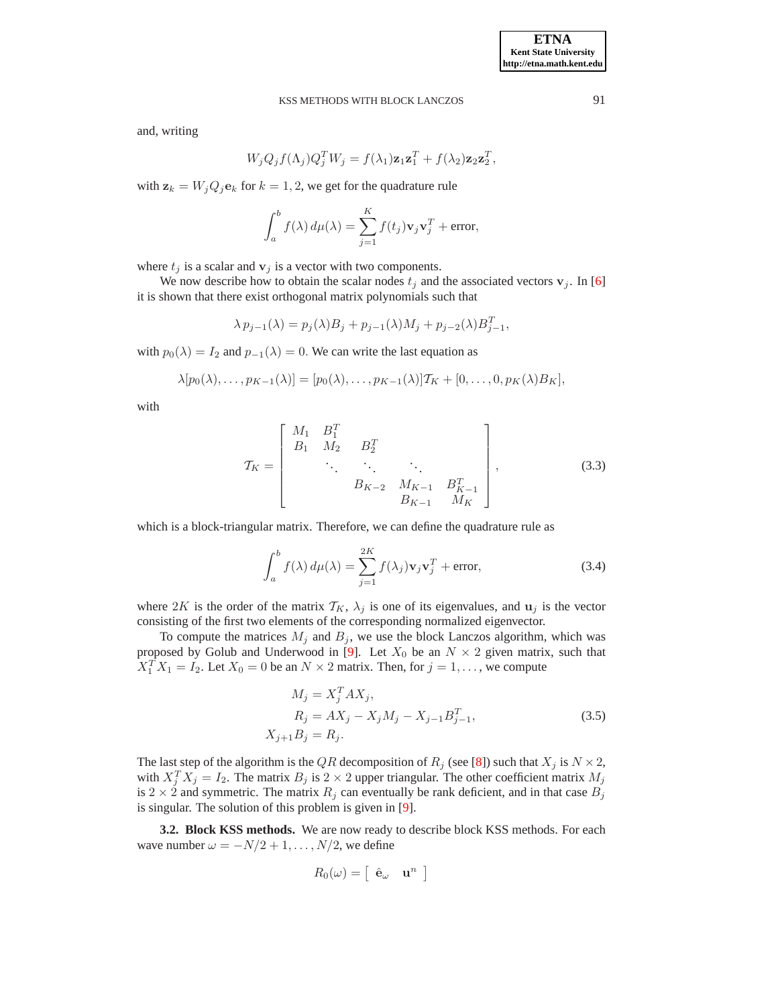and, writing

$$
W_j Q_j f(\Lambda_j) Q_j^T W_j = f(\lambda_1) \mathbf{z}_1 \mathbf{z}_1^T + f(\lambda_2) \mathbf{z}_2 \mathbf{z}_2^T,
$$

with  $z_k = W_j Q_j e_k$  for  $k = 1, 2$ , we get for the quadrature rule

$$
\int_a^b f(\lambda) d\mu(\lambda) = \sum_{j=1}^K f(t_j) \mathbf{v}_j \mathbf{v}_j^T + \text{error},
$$

where  $t_i$  is a scalar and  $v_i$  is a vector with two components.

We now describe how to obtain the scalar nodes  $t_j$  and the associated vectors  $v_j$ . In [\[6\]](#page-21-0) it is shown that there exist orthogonal matrix polynomials such that

$$
\lambda p_{j-1}(\lambda) = p_j(\lambda)B_j + p_{j-1}(\lambda)M_j + p_{j-2}(\lambda)B_{j-1}^T,
$$

with  $p_0(\lambda) = I_2$  and  $p_{-1}(\lambda) = 0$ . We can write the last equation as

$$
\lambda[p_0(\lambda),\ldots,p_{K-1}(\lambda)]=[p_0(\lambda),\ldots,p_{K-1}(\lambda)]T_K+[0,\ldots,0,p_K(\lambda)B_K],
$$

<span id="page-5-2"></span>with

$$
\mathcal{T}_{K} = \begin{bmatrix} M_{1} & B_{1}^{T} & & & \\ B_{1} & M_{2} & B_{2}^{T} & & \\ & \ddots & \ddots & \ddots & \\ & & B_{K-2} & M_{K-1} & B_{K-1}^{T} \\ & & & B_{K-1} & M_{K} \end{bmatrix},
$$
(3.3)

<span id="page-5-1"></span>which is a block-triangular matrix. Therefore, we can define the quadrature rule as

$$
\int_{a}^{b} f(\lambda) d\mu(\lambda) = \sum_{j=1}^{2K} f(\lambda_j) \mathbf{v}_j \mathbf{v}_j^T + \text{error},
$$
\n(3.4)

where 2K is the order of the matrix  $\mathcal{T}_K$ ,  $\lambda_j$  is one of its eigenvalues, and  $\mathbf{u}_j$  is the vector consisting of the first two elements of the corresponding normalized eigenvector.

To compute the matrices  $M_j$  and  $B_j$ , we use the block Lanczos algorithm, which was proposed by Golub and Underwood in [\[9\]](#page-21-6). Let  $X_0$  be an  $N \times 2$  given matrix, such that  $X_1^T X_1 = I_2$ . Let  $X_0 = 0$  be an  $N \times 2$  matrix. Then, for  $j = 1, ...,$  we compute

<span id="page-5-0"></span>
$$
M_j = X_j^T A X_j,
$$
  
\n
$$
R_j = A X_j - X_j M_j - X_{j-1} B_{j-1}^T,
$$
  
\n
$$
X_{j+1} B_j = R_j.
$$
\n(3.5)

The last step of the algorithm is the QR decomposition of  $R_i$  (see [\[8\]](#page-21-7)) such that  $X_i$  is  $N \times 2$ , with  $X_j^T X_j = I_2$ . The matrix  $B_j$  is  $2 \times 2$  upper triangular. The other coefficient matrix  $M_j$ is 2  $\times$  2 and symmetric. The matrix  $R_j$  can eventually be rank deficient, and in that case  $B_j$ is singular. The solution of this problem is given in [\[9\]](#page-21-6).

**3.2. Block KSS methods.** We are now ready to describe block KSS methods. For each wave number  $\omega = -N/2 + 1, \ldots, N/2$ , we define

$$
R_0(\omega) = \left[\begin{array}{cc} \hat{\mathbf{e}}_{\omega} & \mathbf{u}^n \end{array}\right]
$$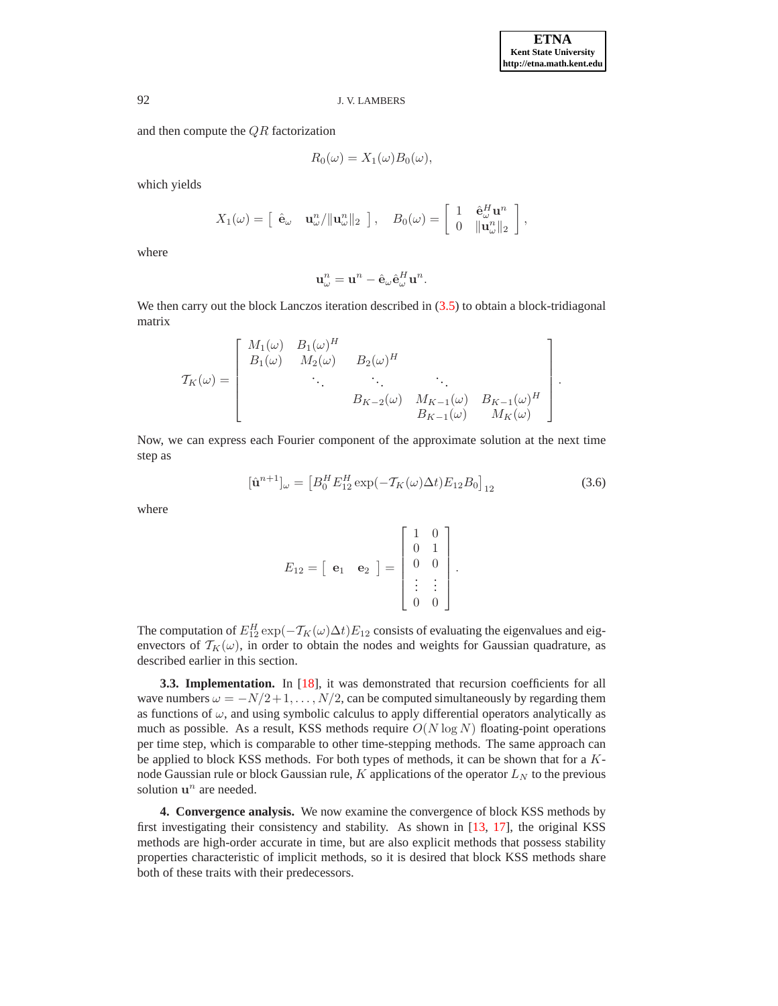and then compute the QR factorization

$$
R_0(\omega) = X_1(\omega) B_0(\omega),
$$

which yields

$$
X_1(\omega) = \begin{bmatrix} \hat{\mathbf{e}}_{\omega} & \mathbf{u}_{\omega}^n / \|\mathbf{u}_{\omega}^n\|_2 \end{bmatrix}, \quad B_0(\omega) = \begin{bmatrix} 1 & \hat{\mathbf{e}}_{\omega}^H \mathbf{u}^n \\ 0 & \|\mathbf{u}_{\omega}^n\|_2 \end{bmatrix},
$$

where

$$
\mathbf{u}_{\omega}^{n} = \mathbf{u}^{n} - \hat{\mathbf{e}}_{\omega} \hat{\mathbf{e}}_{\omega}^{H} \mathbf{u}^{n}.
$$

We then carry out the block Lanczos iteration described in  $(3.5)$  to obtain a block-tridiagonal matrix

$$
\mathcal{T}_{K}(\omega) = \begin{bmatrix}\nM_{1}(\omega) & B_{1}(\omega)^{H} & & & \\
B_{1}(\omega) & M_{2}(\omega) & B_{2}(\omega)^{H} & & \\
& \ddots & \ddots & \ddots & \vdots \\
& & B_{K-2}(\omega) & M_{K-1}(\omega) & B_{K-1}(\omega)^{H} \\
& & & B_{K-1}(\omega) & M_{K}(\omega)\n\end{bmatrix}.
$$

Now, we can express each Fourier component of the approximate solution at the next time step as

$$
[\hat{\mathbf{u}}^{n+1}]_{\omega} = \left[ B_0^H E_{12}^H \exp(-\mathcal{T}_K(\omega)\Delta t) E_{12} B_0 \right]_{12} \tag{3.6}
$$

where

$$
E_{12} = \begin{bmatrix} \mathbf{e}_1 & \mathbf{e}_2 \end{bmatrix} = \begin{bmatrix} 1 & 0 \\ 0 & 1 \\ 0 & 0 \\ \vdots & \vdots \\ 0 & 0 \end{bmatrix}.
$$

The computation of  $E_{12}^H \exp(-\mathcal{T}_K(\omega)\Delta t)E_{12}$  consists of evaluating the eigenvalues and eigenvectors of  $T_K(\omega)$ , in order to obtain the nodes and weights for Gaussian quadrature, as described earlier in this section.

**3.3. Implementation.** In [\[18\]](#page-22-5), it was demonstrated that recursion coefficients for all wave numbers  $\omega = -N/2 + 1, \ldots, N/2$ , can be computed simultaneously by regarding them as functions of  $\omega$ , and using symbolic calculus to apply differential operators analytically as much as possible. As a result, KSS methods require  $O(N \log N)$  floating-point operations per time step, which is comparable to other time-stepping methods. The same approach can be applied to block KSS methods. For both types of methods, it can be shown that for a Knode Gaussian rule or block Gaussian rule,  $K$  applications of the operator  $L<sub>N</sub>$  to the previous solution  $\mathbf{u}^n$  are needed.

<span id="page-6-0"></span>**4. Convergence analysis.** We now examine the convergence of block KSS methods by first investigating their consistency and stability. As shown in [\[13,](#page-22-3) [17\]](#page-22-1), the original KSS methods are high-order accurate in time, but are also explicit methods that possess stability properties characteristic of implicit methods, so it is desired that block KSS methods share both of these traits with their predecessors.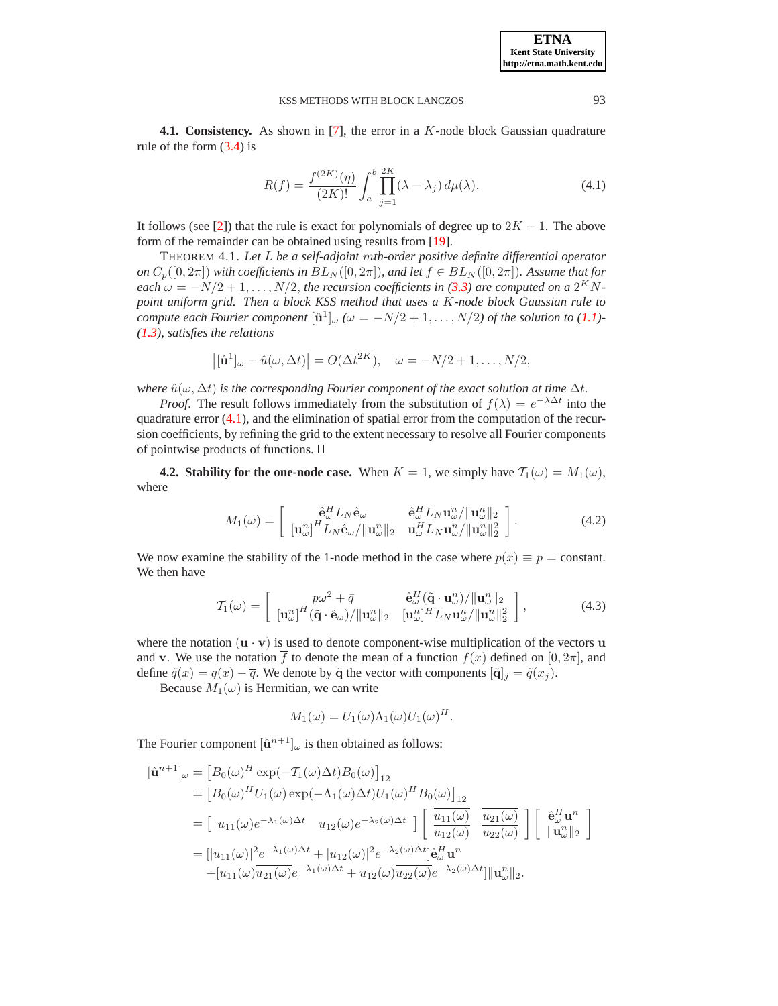**4.1. Consistency.** As shown in [\[7\]](#page-21-8), the error in a K-node block Gaussian quadrature rule of the form  $(3.4)$  is

$$
R(f) = \frac{f^{(2K)}(\eta)}{(2K)!} \int_{a}^{b} \prod_{j=1}^{2K} (\lambda - \lambda_j) d\mu(\lambda).
$$
 (4.1)

<span id="page-7-0"></span>It follows (see [\[2\]](#page-21-9)) that the rule is exact for polynomials of degree up to  $2K - 1$ . The above form of the remainder can be obtained using results from [\[19\]](#page-22-6).

THEOREM 4.1. *Let* L *be a self-adjoint* m*th-order positive definite differential operator on*  $C_p([0, 2\pi])$  *with coefficients in*  $BL_N([0, 2\pi])$ *, and let*  $f \in BL_N([0, 2\pi])$ *. Assume that for each*  $\omega = -N/2 + 1, \ldots, N/2$ , *the recursion coefficients in* [\(3.3\)](#page-5-2) *are computed on a* 2<sup>K</sup> N*point uniform grid. Then a block KSS method that uses a* K*-node block Gaussian rule to compute each Fourier component*  $[\hat{\mathbf{u}}^1]_{\omega}$  ( $\omega = -N/2 + 1, \ldots, N/2$ ) of the solution to [\(1.1\)](#page-0-0)-*[\(1.3\)](#page-0-1), satisfies the relations*

$$
\left| [\hat{\mathbf{u}}^1]_{\omega} - \hat{u}(\omega, \Delta t) \right| = O(\Delta t^{2K}), \quad \omega = -N/2 + 1, \dots, N/2,
$$

*where*  $\hat{u}(\omega, \Delta t)$  *is the corresponding Fourier component of the exact solution at time*  $\Delta t$ *.* 

*Proof.* The result follows immediately from the substitution of  $f(\lambda) = e^{-\lambda \Delta t}$  into the quadrature error  $(4.1)$ , and the elimination of spatial error from the computation of the recursion coefficients, by refining the grid to the extent necessary to resolve all Fourier components of pointwise products of functions.  $\Box$ 

**4.2. Stability for the one-node case.** When  $K = 1$ , we simply have  $\mathcal{T}_1(\omega) = M_1(\omega)$ , where

$$
M_1(\omega) = \begin{bmatrix} \hat{\mathbf{e}}_w^H L_N \hat{\mathbf{e}}_\omega & \hat{\mathbf{e}}_w^H L_N \mathbf{u}_\omega^n / \|\mathbf{u}_w^n\|_2 \\ [\mathbf{u}_\omega^n]^H L_N \hat{\mathbf{e}}_\omega / \|\mathbf{u}_\omega^n\|_2 & \mathbf{u}_\omega^H L_N \mathbf{u}_\omega^n / \|\mathbf{u}_\omega^n\|_2^2 \end{bmatrix} .
$$
 (4.2)

We now examine the stability of the 1-node method in the case where  $p(x) \equiv p =$  constant. We then have

$$
\mathcal{T}_1(\omega) = \begin{bmatrix} p\omega^2 + \bar{q} & \hat{\mathbf{e}}_{\omega}^H(\tilde{\mathbf{q}} \cdot \mathbf{u}_{\omega}^n) / \|\mathbf{u}_{\omega}^n\|_2 \\ [\mathbf{u}_{\omega}^n]^H(\tilde{\mathbf{q}} \cdot \hat{\mathbf{e}}_{\omega}) / \|\mathbf{u}_{\omega}^n\|_2 & [\mathbf{u}_{\omega}^n]^H L_N \mathbf{u}_{\omega}^n / \|\mathbf{u}_{\omega}^n\|_2^2 \end{bmatrix},
$$
(4.3)

where the notation  $(\mathbf{u} \cdot \mathbf{v})$  is used to denote component-wise multiplication of the vectors  $\mathbf{u}$ and v. We use the notation  $\overline{f}$  to denote the mean of a function  $f(x)$  defined on  $[0, 2\pi]$ , and define  $\tilde{q}(x) = q(x) - \overline{q}$ . We denote by  $\tilde{q}$  the vector with components  $[\tilde{q}]_j = \tilde{q}(x_j)$ .

Because  $M_1(\omega)$  is Hermitian, we can write

$$
M_1(\omega) = U_1(\omega) \Lambda_1(\omega) U_1(\omega)^H.
$$

The Fourier component  $[\hat{\mathbf{u}}^{n+1}]_{\omega}$  is then obtained as follows:

$$
\begin{split}\n\left[\hat{\mathbf{u}}^{n+1}\right]_{\omega} &= \left[B_0(\omega)^H \exp(-\mathcal{T}_1(\omega)\Delta t)B_0(\omega)\right]_{12} \\
&= \left[B_0(\omega)^H U_1(\omega) \exp(-\Lambda_1(\omega)\Delta t)U_1(\omega)^H B_0(\omega)\right]_{12} \\
&= \left[\ u_{11}(\omega)e^{-\lambda_1(\omega)\Delta t} \ u_{12}(\omega)e^{-\lambda_2(\omega)\Delta t} \right] \left[\ \frac{u_{11}(\omega)}{u_{12}(\omega)} \ \frac{u_{21}(\omega)}{u_{22}(\omega)} \right] \left[\ \hat{\mathbf{e}}_{\omega}^H \mathbf{u}^n \right] \\
&= \left[\left|u_{11}(\omega)\right|^2 e^{-\lambda_1(\omega)\Delta t} + \left|u_{12}(\omega)\right|^2 e^{-\lambda_2(\omega)\Delta t}\right] \hat{\mathbf{e}}_{\omega}^H \mathbf{u}^n \\
&\quad + \left[u_{11}(\omega)\overline{u_{21}(\omega)}e^{-\lambda_1(\omega)\Delta t} + u_{12}(\omega)\overline{u_{22}(\omega)}e^{-\lambda_2(\omega)\Delta t}\right] \|\mathbf{u}_{\omega}^n\|_2.\n\end{split}
$$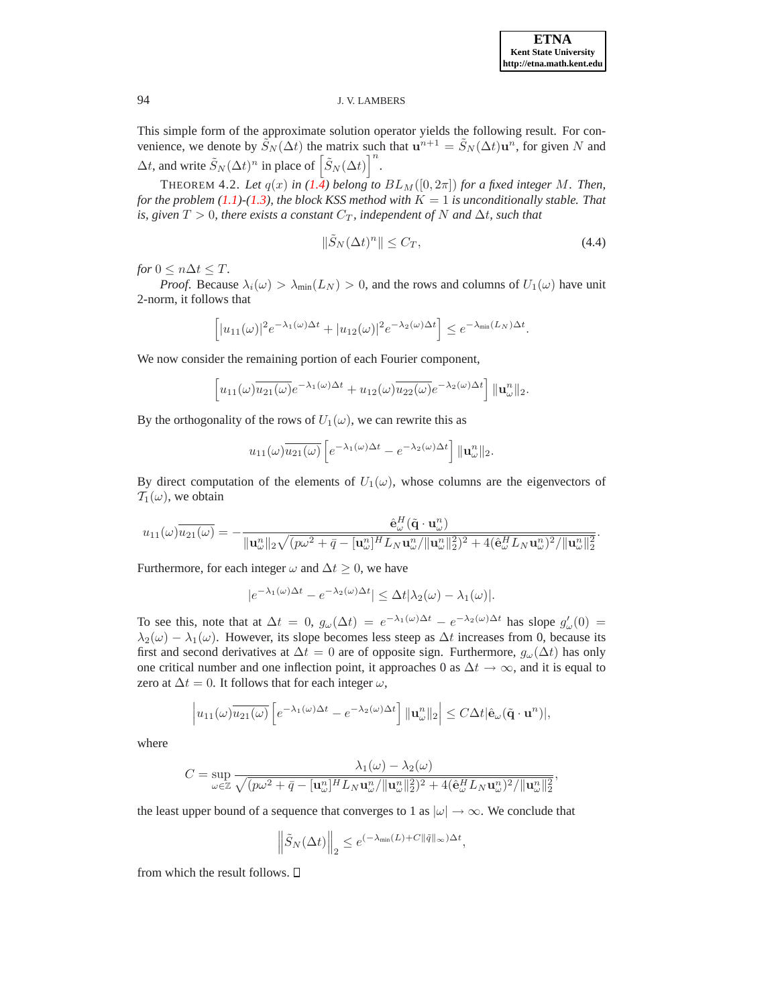This simple form of the approximate solution operator yields the following result. For convenience, we denote by  $\tilde{S}_N(\Delta t)$  the matrix such that  $\mathbf{u}^{n+1} = \tilde{S}_N(\Delta t) \mathbf{u}^n$ , for given N and  $\Delta t$ , and write  $\tilde{S}_N(\Delta t)^n$  in place of  $\left[\tilde{S}_N(\Delta t)\right]^n$ .

THEOREM 4.2. Let  $q(x)$  in  $(1.4)$  belong to  $BL_M([0, 2\pi])$  for a fixed integer M. Then, *for the problem*  $(1.1)$ <sup> $-$ </sup> $(1.3)$ *, the block KSS method with*  $K = 1$  *is unconditionally stable. That is, given*  $T > 0$ *, there exists a constant*  $C_T$ *, independent of* N *and*  $\Delta t$ *, such that* 

$$
\|\tilde{S}_N(\Delta t)^n\| \le C_T,\tag{4.4}
$$

*for*  $0 \leq n \Delta t \leq T$ .

*Proof.* Because  $\lambda_i(\omega) > \lambda_{\min}(L_N) > 0$ , and the rows and columns of  $U_1(\omega)$  have unit 2-norm, it follows that

$$
\left[ |u_{11}(\omega)|^2 e^{-\lambda_1(\omega)\Delta t} + |u_{12}(\omega)|^2 e^{-\lambda_2(\omega)\Delta t} \right] \le e^{-\lambda_{\min}(L_N)\Delta t}.
$$

We now consider the remaining portion of each Fourier component,

$$
\[u_{11}(\omega)\overline{u_{21}(\omega)}e^{-\lambda_1(\omega)\Delta t} + u_{12}(\omega)\overline{u_{22}(\omega)}e^{-\lambda_2(\omega)\Delta t}\] \|\mathbf{u}_{\omega}^n\|_2.
$$

By the orthogonality of the rows of  $U_1(\omega)$ , we can rewrite this as

$$
u_{11}(\omega)\overline{u_{21}(\omega)}\left[e^{-\lambda_1(\omega)\Delta t}-e^{-\lambda_2(\omega)\Delta t}\right]\|\mathbf{u}_{\omega}^n\|_2.
$$

By direct computation of the elements of  $U_1(\omega)$ , whose columns are the eigenvectors of  $T_1(\omega)$ , we obtain

$$
u_{11}(\omega)\overline{u_{21}(\omega)} = -\frac{\hat{\mathbf{e}}_{{\omega}}^H(\tilde{\mathbf{q}}\cdot\mathbf{u}_{\omega}^n)}{\|\mathbf{u}_{\omega}^n\|_2\sqrt{(p\omega^2 + \bar{q} - [\mathbf{u}_{\omega}^n]^H L_N \mathbf{u}_{\omega}^n/\|\mathbf{u}_{\omega}^n\|_2^2)^2 + 4(\hat{\mathbf{e}}_{{\omega}}^H L_N \mathbf{u}_{\omega}^n)^2/\|\mathbf{u}_{\omega}^n\|_2^2}.
$$

Furthermore, for each integer  $\omega$  and  $\Delta t \geq 0$ , we have

$$
|e^{-\lambda_1(\omega)\Delta t}-e^{-\lambda_2(\omega)\Delta t}|\leq \Delta t |\lambda_2(\omega)-\lambda_1(\omega)|.
$$

To see this, note that at  $\Delta t = 0$ ,  $g_{\omega}(\Delta t) = e^{-\lambda_1(\omega)\Delta t} - e^{-\lambda_2(\omega)\Delta t}$  has slope  $g'_{\omega}(0) =$  $\lambda_2(\omega) - \lambda_1(\omega)$ . However, its slope becomes less steep as  $\Delta t$  increases from 0, because its first and second derivatives at  $\Delta t = 0$  are of opposite sign. Furthermore,  $g_{\omega}(\Delta t)$  has only one critical number and one inflection point, it approaches 0 as  $\Delta t \to \infty$ , and it is equal to zero at  $\Delta t = 0$ . It follows that for each integer  $\omega$ ,

$$
\left| u_{11}(\omega) \overline{u_{21}(\omega)} \left[ e^{-\lambda_1(\omega)\Delta t} - e^{-\lambda_2(\omega)\Delta t} \right] \| \mathbf{u}_{\omega}^n \|_2 \right| \leq C \Delta t |\hat{\mathbf{e}}_{\omega}(\tilde{\mathbf{q}} \cdot \mathbf{u}^n)|,
$$

where

$$
C = \sup_{\omega \in \mathbb{Z}} \frac{\lambda_1(\omega) - \lambda_2(\omega)}{\sqrt{(p\omega^2 + \bar{q} - [\mathbf{u}_{\omega}^n]^H L_N \mathbf{u}_{\omega}^n / ||\mathbf{u}_{\omega}^n||_2^2)^2 + 4(\hat{\mathbf{e}}_{\omega}^H L_N \mathbf{u}_{\omega}^n)^2 / ||\mathbf{u}_{\omega}^n||_2^2}},
$$

the least upper bound of a sequence that converges to 1 as  $|\omega| \to \infty$ . We conclude that

$$
\left\|\tilde{S}_N(\Delta t)\right\|_2 \leq e^{(-\lambda_{\min}(L)+C\|\tilde{q}\|_\infty)\Delta t},
$$

from which the result follows.  $\Box$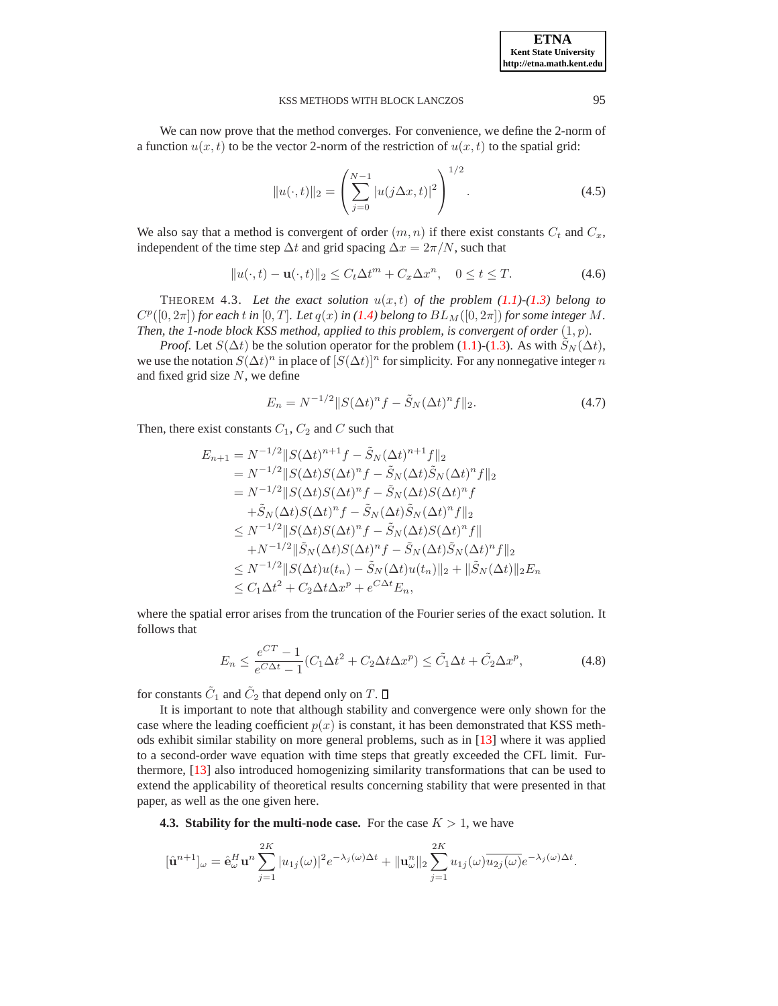We can now prove that the method converges. For convenience, we define the 2-norm of a function  $u(x, t)$  to be the vector 2-norm of the restriction of  $u(x, t)$  to the spatial grid:

$$
||u(\cdot,t)||_2 = \left(\sum_{j=0}^{N-1} |u(j\Delta x, t)|^2\right)^{1/2}.
$$
 (4.5)

We also say that a method is convergent of order  $(m, n)$  if there exist constants  $C_t$  and  $C_x$ , independent of the time step  $\Delta t$  and grid spacing  $\Delta x = 2\pi/N$ , such that

$$
||u(\cdot,t)-\mathbf{u}(\cdot,t)||_2 \le C_t \Delta t^m + C_x \Delta x^n, \quad 0 \le t \le T. \tag{4.6}
$$

THEOREM 4.3. Let the exact solution  $u(x,t)$  of the problem  $(1.1)$ - $(1.3)$  belong to  $C^{p}([0, 2\pi])$  for each t in  $[0, T]$ . Let  $q(x)$  in  $(1.4)$  belong to  $BL_M([0, 2\pi])$  for some integer M. *Then, the 1-node block KSS method, applied to this problem, is convergent of order* (1, p)*.*

*Proof.* Let  $S(\Delta t)$  be the solution operator for the problem [\(1.1\)](#page-0-0)-[\(1.3\)](#page-0-1). As with  $S_N(\Delta t)$ , we use the notation  $S(\Delta t)^n$  in place of  $[S(\Delta t)]^n$  for simplicity. For any nonnegative integer n and fixed grid size  $N$ , we define

$$
E_n = N^{-1/2} ||S(\Delta t)^n f - \tilde{S}_N (\Delta t)^n f||_2.
$$
\n(4.7)

Then, there exist constants  $C_1$ ,  $C_2$  and C such that

$$
E_{n+1} = N^{-1/2} ||S(\Delta t)^{n+1} f - \tilde{S}_N(\Delta t)^{n+1} f||_2
$$
  
\n
$$
= N^{-1/2} ||S(\Delta t)S(\Delta t)^n f - \tilde{S}_N(\Delta t) \tilde{S}_N(\Delta t)^n f||_2
$$
  
\n
$$
= N^{-1/2} ||S(\Delta t)S(\Delta t)^n f - \tilde{S}_N(\Delta t)S(\Delta t)^n f
$$
  
\n
$$
+ \tilde{S}_N(\Delta t)S(\Delta t)^n f - \tilde{S}_N(\Delta t) \tilde{S}_N(\Delta t)^n f||_2
$$
  
\n
$$
\leq N^{-1/2} ||S(\Delta t)S(\Delta t)^n f - \tilde{S}_N(\Delta t)S(\Delta t)^n f||_2
$$
  
\n
$$
+ N^{-1/2} ||\tilde{S}_N(\Delta t)S(\Delta t)^n f - \tilde{S}_N(\Delta t) \tilde{S}_N(\Delta t)^n f||_2
$$
  
\n
$$
\leq N^{-1/2} ||S(\Delta t)u(t_n) - \tilde{S}_N(\Delta t)u(t_n)||_2 + ||\tilde{S}_N(\Delta t)||_2 E_n
$$
  
\n
$$
\leq C_1 \Delta t^2 + C_2 \Delta t \Delta x^p + e^{C \Delta t} E_n,
$$

where the spatial error arises from the truncation of the Fourier series of the exact solution. It follows that

$$
E_n \le \frac{e^{CT} - 1}{e^{C\Delta t} - 1} (C_1 \Delta t^2 + C_2 \Delta t \Delta x^p) \le \tilde{C}_1 \Delta t + \tilde{C}_2 \Delta x^p,
$$
\n(4.8)

for constants  $\tilde{C}_1$  and  $\tilde{C}_2$  that depend only on  $T$ .

It is important to note that although stability and convergence were only shown for the case where the leading coefficient  $p(x)$  is constant, it has been demonstrated that KSS methods exhibit similar stability on more general problems, such as in [\[13\]](#page-22-3) where it was applied to a second-order wave equation with time steps that greatly exceeded the CFL limit. Furthermore, [\[13\]](#page-22-3) also introduced homogenizing similarity transformations that can be used to extend the applicability of theoretical results concerning stability that were presented in that paper, as well as the one given here.

<span id="page-9-0"></span>**4.3. Stability for the multi-node case.** For the case  $K > 1$ , we have

$$
[\hat{\mathbf{u}}^{n+1}]_{\omega} = \hat{\mathbf{e}}_{\omega}^H \mathbf{u}^n \sum_{j=1}^{2K} |u_{1j}(\omega)|^2 e^{-\lambda_j(\omega)\Delta t} + ||\mathbf{u}_{\omega}^n||_2 \sum_{j=1}^{2K} u_{1j}(\omega) \overline{u_{2j}(\omega)} e^{-\lambda_j(\omega)\Delta t}.
$$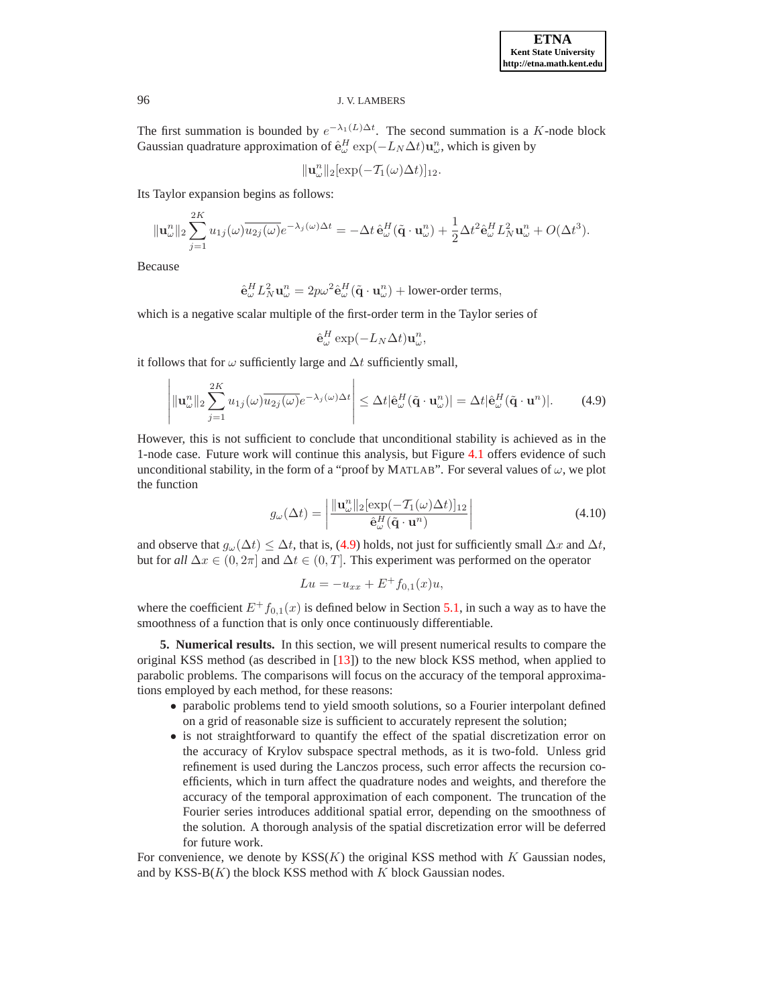The first summation is bounded by  $e^{-\lambda_1(L)\Delta t}$ . The second summation is a K-node block Gaussian quadrature approximation of  $\hat{\mathbf{e}}_{\omega}^H \exp(-L_N \Delta t) \mathbf{u}_{\omega}^n$ , which is given by

$$
\|\mathbf{u}_{\omega}^{n}\|_{2}[\exp(-\mathcal{T}_{1}(\omega)\Delta t)]_{12}.
$$

Its Taylor expansion begins as follows:

$$
\|\mathbf{u}_{\omega}^{n}\|_{2} \sum_{j=1}^{2K} u_{1j}(\omega)\overline{u_{2j}(\omega)}e^{-\lambda_{j}(\omega)\Delta t} = -\Delta t \,\hat{\mathbf{e}}_{\omega}^{H}(\tilde{\mathbf{q}}\cdot\mathbf{u}_{\omega}^{n}) + \frac{1}{2}\Delta t^{2}\hat{\mathbf{e}}_{\omega}^{H}L_{N}^{2}\mathbf{u}_{\omega}^{n} + O(\Delta t^{3}).
$$

Because

$$
\hat{\mathbf{e}}_{\omega}^H L_N^2 \mathbf{u}_{\omega}^n = 2p\omega^2 \hat{\mathbf{e}}_{\omega}^H (\tilde{\mathbf{q}} \cdot \mathbf{u}_{\omega}^n) + \text{lower-order terms},
$$

which is a negative scalar multiple of the first-order term in the Taylor series of

$$
\hat{\mathbf{e}}_{\omega}^{H} \exp(-L_{N} \Delta t) \mathbf{u}_{\omega}^{n},
$$

<span id="page-10-1"></span>it follows that for  $\omega$  sufficiently large and  $\Delta t$  sufficiently small,

$$
\left| \|\mathbf{u}_{\omega}^{n}\|_{2} \sum_{j=1}^{2K} u_{1j}(\omega) \overline{u_{2j}(\omega)} e^{-\lambda_{j}(\omega)\Delta t} \right| \leq \Delta t |\hat{\mathbf{e}}_{\omega}^{H}(\tilde{\mathbf{q}} \cdot \mathbf{u}_{\omega}^{n})| = \Delta t |\hat{\mathbf{e}}_{\omega}^{H}(\tilde{\mathbf{q}} \cdot \mathbf{u}^{n})|.
$$
 (4.9)

However, this is not sufficient to conclude that unconditional stability is achieved as in the 1-node case. Future work will continue this analysis, but Figure [4.1](#page-11-0) offers evidence of such unconditional stability, in the form of a "proof by MATLAB". For several values of  $\omega$ , we plot the function

$$
g_{\omega}(\Delta t) = \left| \frac{\|\mathbf{u}_{\omega}^{n}\|_{2} [\exp(-\mathcal{T}_{1}(\omega)\Delta t)]_{12}}{\hat{\mathbf{e}}_{\omega}^{H}(\tilde{\mathbf{q}} \cdot \mathbf{u}^{n})} \right| \tag{4.10}
$$

<span id="page-10-2"></span>and observe that  $g_{\omega}(\Delta t) \leq \Delta t$ , that is, [\(4.9\)](#page-10-1) holds, not just for sufficiently small  $\Delta x$  and  $\Delta t$ , but for *all*  $\Delta x \in (0, 2\pi]$  and  $\Delta t \in (0, T]$ . This experiment was performed on the operator

$$
Lu = -u_{xx} + E^+ f_{0,1}(x)u,
$$

where the coefficient  $E^+f_{0,1}(x)$  is defined below in Section [5.1,](#page-11-1) in such a way as to have the smoothness of a function that is only once continuously differentiable.

<span id="page-10-0"></span>**5. Numerical results.** In this section, we will present numerical results to compare the original KSS method (as described in [\[13\]](#page-22-3)) to the new block KSS method, when applied to parabolic problems. The comparisons will focus on the accuracy of the temporal approximations employed by each method, for these reasons:

- parabolic problems tend to yield smooth solutions, so a Fourier interpolant defined on a grid of reasonable size is sufficient to accurately represent the solution;
- is not straightforward to quantify the effect of the spatial discretization error on the accuracy of Krylov subspace spectral methods, as it is two-fold. Unless grid refinement is used during the Lanczos process, such error affects the recursion coefficients, which in turn affect the quadrature nodes and weights, and therefore the accuracy of the temporal approximation of each component. The truncation of the Fourier series introduces additional spatial error, depending on the smoothness of the solution. A thorough analysis of the spatial discretization error will be deferred for future work.

For convenience, we denote by  $KSS(K)$  the original KSS method with K Gaussian nodes, and by  $KSS-B(K)$  the block KSS method with K block Gaussian nodes.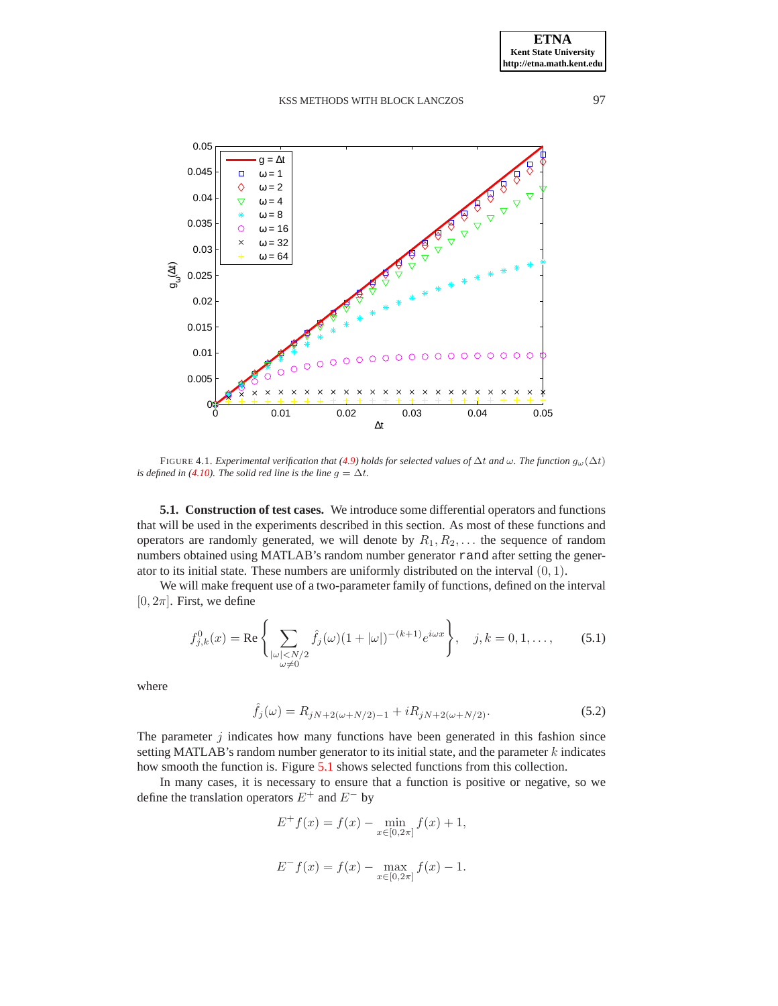

<span id="page-11-0"></span>FIGURE 4.1. *Experimental verification that* [\(4.9\)](#page-10-1) *holds for selected values of*  $\Delta t$  *and*  $\omega$ *. The function*  $g_{\omega}(\Delta t)$ *is defined in* [\(4.10\)](#page-10-2). The solid red line is the line  $g = \Delta t$ .

<span id="page-11-1"></span>**5.1. Construction of test cases.** We introduce some differential operators and functions that will be used in the experiments described in this section. As most of these functions and operators are randomly generated, we will denote by  $R_1, R_2, \ldots$  the sequence of random numbers obtained using MATLAB's random number generator rand after setting the generator to its initial state. These numbers are uniformly distributed on the interval  $(0, 1)$ .

We will make frequent use of a two-parameter family of functions, defined on the interval  $[0, 2\pi]$ . First, we define

$$
f_{j,k}^0(x) = \text{Re}\left\{\sum_{\substack{|\omega| < N/2 \\ \omega \neq 0}} \hat{f}_j(\omega)(1 + |\omega|)^{-(k+1)} e^{i\omega x} \right\}, \quad j, k = 0, 1, \dots, \tag{5.1}
$$

<span id="page-11-2"></span>where

$$
\hat{f}_j(\omega) = R_{jN+2(\omega+N/2)-1} + iR_{jN+2(\omega+N/2)}.
$$
\n(5.2)

The parameter  $j$  indicates how many functions have been generated in this fashion since setting MATLAB's random number generator to its initial state, and the parameter  $k$  indicates how smooth the function is. Figure [5.1](#page-12-0) shows selected functions from this collection.

In many cases, it is necessary to ensure that a function is positive or negative, so we define the translation operators  $E^+$  and  $E^-$  by

$$
E^{+} f(x) = f(x) - \min_{x \in [0, 2\pi]} f(x) + 1,
$$
  

$$
E^{-} f(x) = f(x) - \max_{x \in [0, 2\pi]} f(x) - 1.
$$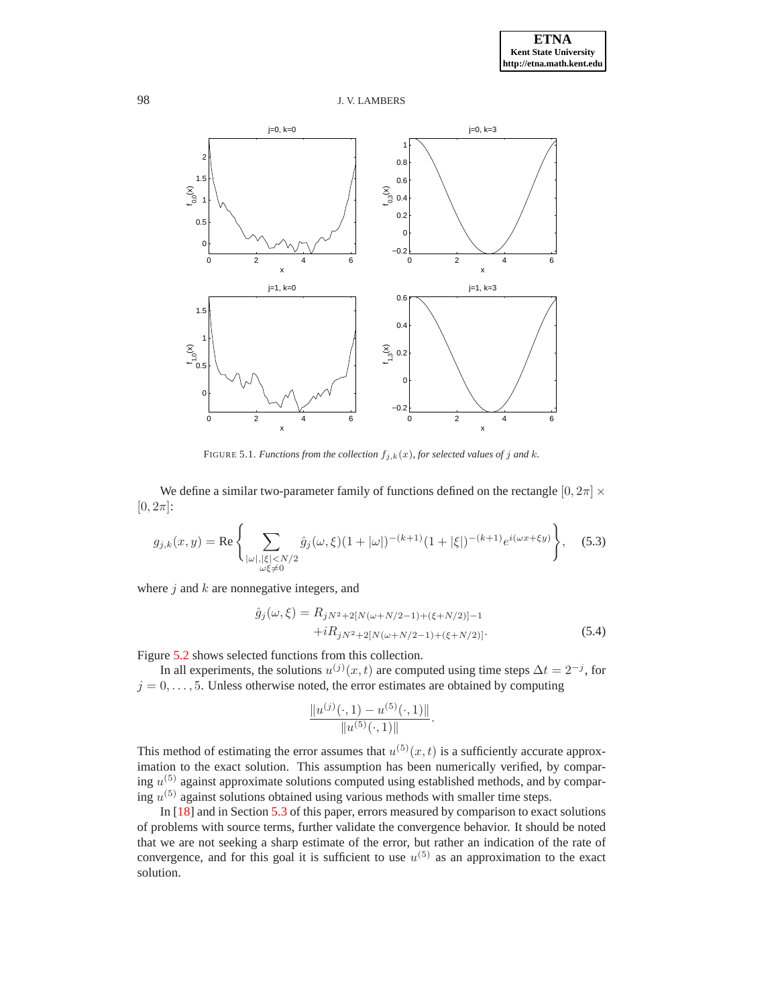

<span id="page-12-0"></span>FIGURE 5.1. *Functions from the collection*  $f_{j,k}(x)$ *, for selected values of j and k.* 

We define a similar two-parameter family of functions defined on the rectangle  $[0, 2\pi] \times$  $[0, 2\pi]$ :

$$
g_{j,k}(x,y) = \text{Re}\left\{\sum_{\substack{|\omega|,|\xi|
$$

where  $j$  and  $k$  are nonnegative integers, and

$$
\hat{g}_j(\omega,\xi) = R_{jN^2+2[N(\omega+N/2-1)+(\xi+N/2)]-1} \n+ iR_{jN^2+2[N(\omega+N/2-1)+(\xi+N/2)]}.
$$
\n(5.4)

Figure [5.2](#page-13-0) shows selected functions from this collection.

In all experiments, the solutions  $u^{(j)}(x,t)$  are computed using time steps  $\Delta t = 2^{-j}$ , for  $j = 0, \ldots, 5$ . Unless otherwise noted, the error estimates are obtained by computing

$$
\frac{\|u^{(j)}(\cdot,1)-u^{(5)}(\cdot,1)\|}{\|u^{(5)}(\cdot,1)\|}.
$$

This method of estimating the error assumes that  $u^{(5)}(x,t)$  is a sufficiently accurate approximation to the exact solution. This assumption has been numerically verified, by comparing  $u^{(5)}$  against approximate solutions computed using established methods, and by comparing  $u^{(5)}$  against solutions obtained using various methods with smaller time steps.

In [\[18\]](#page-22-5) and in Section [5.3](#page-15-0) of this paper, errors measured by comparison to exact solutions of problems with source terms, further validate the convergence behavior. It should be noted that we are not seeking a sharp estimate of the error, but rather an indication of the rate of convergence, and for this goal it is sufficient to use  $u^{(5)}$  as an approximation to the exact solution.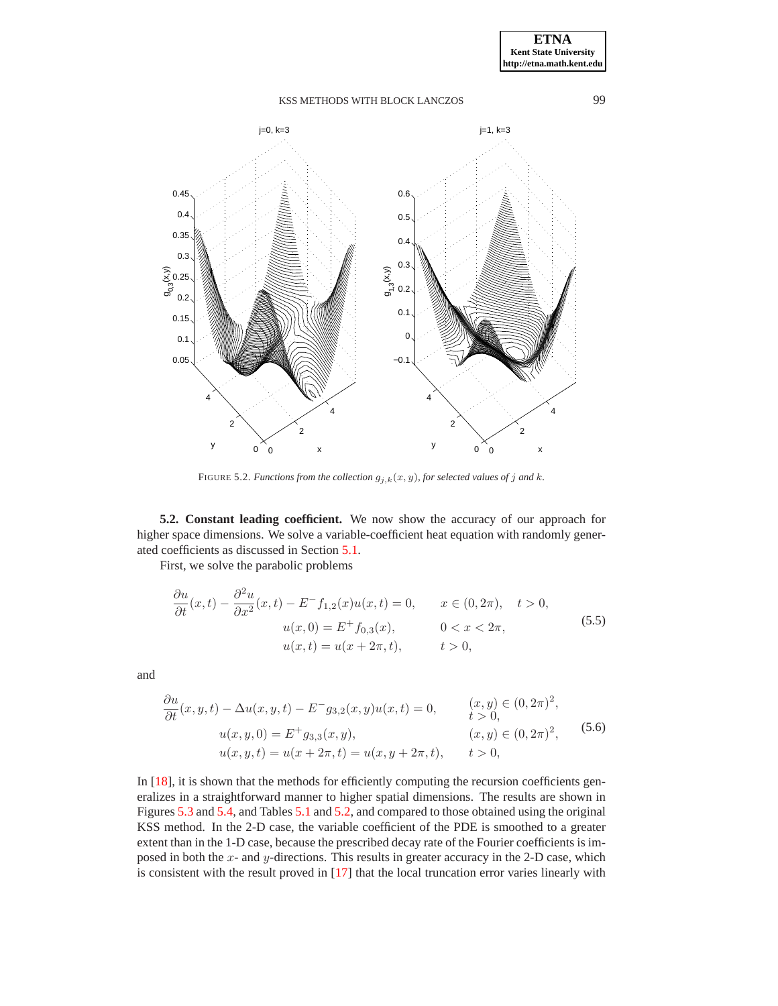

<span id="page-13-0"></span>FIGURE 5.2. *Functions from the collection*  $g_{j,k}(x, y)$ *, for selected values of*  $j$  *and*  $k$ *.* 

**5.2. Constant leading coefficient.** We now show the accuracy of our approach for higher space dimensions. We solve a variable-coefficient heat equation with randomly generated coefficients as discussed in Section [5.1.](#page-11-1)

First, we solve the parabolic problems

$$
\frac{\partial u}{\partial t}(x,t) - \frac{\partial^2 u}{\partial x^2}(x,t) - E^- f_{1,2}(x)u(x,t) = 0, \qquad x \in (0, 2\pi), \quad t > 0,
$$
  

$$
u(x,0) = E^+ f_{0,3}(x), \qquad 0 < x < 2\pi,
$$
  

$$
u(x,t) = u(x + 2\pi, t), \qquad t > 0,
$$
\n(5.5)

<span id="page-13-2"></span><span id="page-13-1"></span>and

$$
\frac{\partial u}{\partial t}(x, y, t) - \Delta u(x, y, t) - E^{-} g_{3,2}(x, y) u(x, t) = 0, \qquad \begin{aligned} (x, y) &\in (0, 2\pi)^{2}, \\ t &> 0, \end{aligned}
$$
\n
$$
u(x, y, 0) = E^{+} g_{3,3}(x, y), \qquad (x, y) \in (0, 2\pi)^{2}, \qquad (5.6)
$$
\n
$$
u(x, y, t) = u(x + 2\pi, t) = u(x, y + 2\pi, t), \qquad t > 0,
$$

In [\[18\]](#page-22-5), it is shown that the methods for efficiently computing the recursion coefficients generalizes in a straightforward manner to higher spatial dimensions. The results are shown in Figures [5.3](#page-14-0) and [5.4,](#page-16-0) and Tables [5.1](#page-15-1) and [5.2,](#page-17-0) and compared to those obtained using the original KSS method. In the 2-D case, the variable coefficient of the PDE is smoothed to a greater extent than in the 1-D case, because the prescribed decay rate of the Fourier coefficients is imposed in both the  $x$ - and  $y$ -directions. This results in greater accuracy in the 2-D case, which is consistent with the result proved in [\[17\]](#page-22-1) that the local truncation error varies linearly with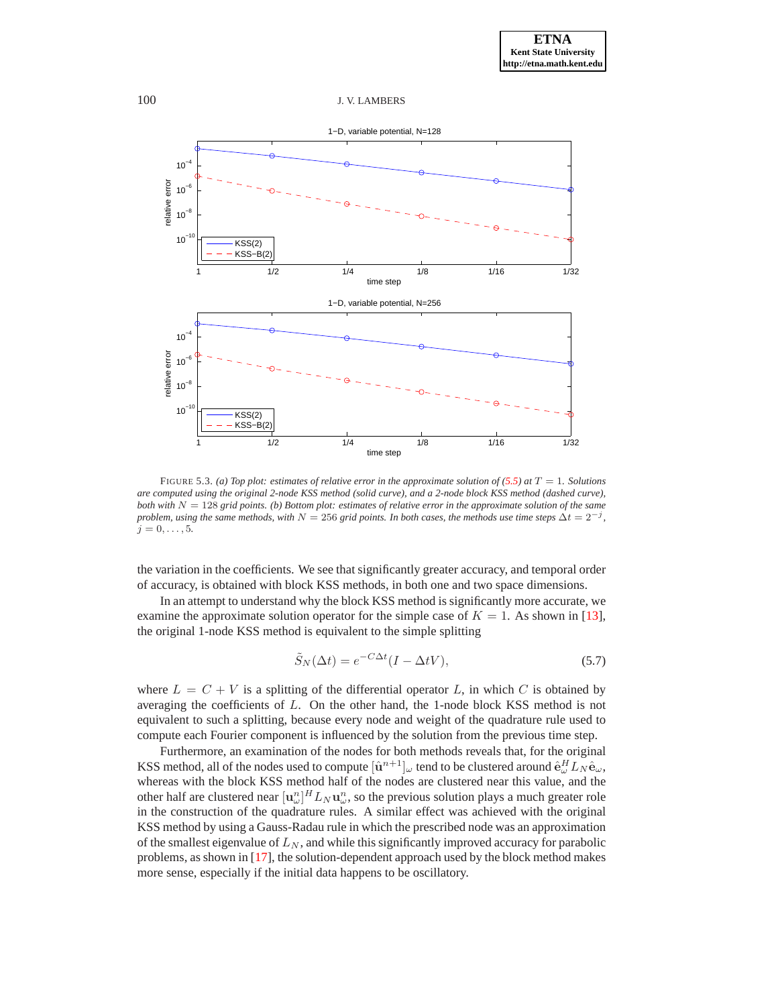

<span id="page-14-0"></span>FIGURE 5.3. *(a) Top plot: estimates of relative error in the approximate solution of*  $(5.5)$  at  $T = 1$ *. Solutions are computed using the original 2-node KSS method (solid curve), and a 2-node block KSS method (dashed curve), both with* N = 128 *grid points. (b) Bottom plot: estimates of relative error in the approximate solution of the same problem, using the same methods, with*  $N = 256$  *grid points. In both cases, the methods use time steps*  $\Delta t = 2^{-j}$ *,*  $j = 0, \ldots, 5.$ 

the variation in the coefficients. We see that significantly greater accuracy, and temporal order of accuracy, is obtained with block KSS methods, in both one and two space dimensions.

In an attempt to understand why the block KSS method is significantly more accurate, we examine the approximate solution operator for the simple case of  $K = 1$ . As shown in [\[13\]](#page-22-3), the original 1-node KSS method is equivalent to the simple splitting

$$
\tilde{S}_N(\Delta t) = e^{-C\Delta t} (I - \Delta t V),\tag{5.7}
$$

where  $L = C + V$  is a splitting of the differential operator L, in which C is obtained by averaging the coefficients of L. On the other hand, the 1-node block KSS method is not equivalent to such a splitting, because every node and weight of the quadrature rule used to compute each Fourier component is influenced by the solution from the previous time step.

Furthermore, an examination of the nodes for both methods reveals that, for the original KSS method, all of the nodes used to compute  $[\hat{\bf u}^{n+1}]_\omega$  tend to be clustered around  $\hat{\bf e}^H_\omega L_N \hat{\bf e}_\omega$ , whereas with the block KSS method half of the nodes are clustered near this value, and the other half are clustered near  $[\mathbf{u}_\omega^n]^{H} L_N \mathbf{u}_\omega^n$ , so the previous solution plays a much greater role in the construction of the quadrature rules. A similar effect was achieved with the original KSS method by using a Gauss-Radau rule in which the prescribed node was an approximation of the smallest eigenvalue of  $L_N$ , and while this significantly improved accuracy for parabolic problems, as shown in [\[17\]](#page-22-1), the solution-dependent approach used by the block method makes more sense, especially if the initial data happens to be oscillatory.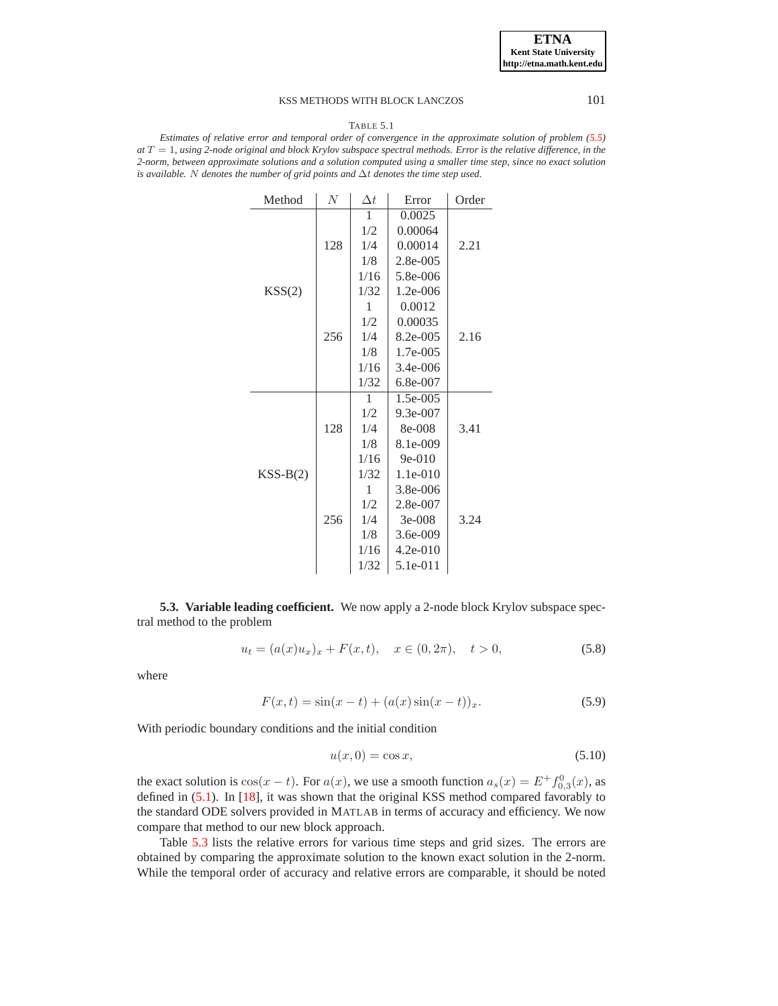#### TABLE 5.1

<span id="page-15-1"></span>*Estimates of relative error and temporal order of convergence in the approximate solution of problem [\(5.5\)](#page-13-1) at* T = 1*, using 2-node original and block Krylov subspace spectral methods. Error is the relative difference, in the 2-norm, between approximate solutions and a solution computed using a smaller time step, since no exact solution is available.* N *denotes the number of grid points and* ∆t *denotes the time step used.*

| Method     | N   | $\Delta t$ | Error      | Order |
|------------|-----|------------|------------|-------|
|            |     | 1          | 0.0025     |       |
|            | 128 | 1/2        | 0.00064    |       |
|            |     | 1/4        | 0.00014    | 2.21  |
|            |     | 1/8        | 2.8e-005   |       |
|            |     | 1/16       | 5.8e-006   |       |
| KSS(2)     |     | 1/32       | 1.2e-006   |       |
|            |     | 1          | 0.0012     |       |
|            |     | 1/2        | 0.00035    |       |
|            | 256 | 1/4        | 8.2e-005   | 2.16  |
|            |     | 1/8        | 1.7e-005   |       |
|            |     | 1/16       | 3.4e-006   |       |
|            |     | 1/32       | 6.8e-007   |       |
|            | 128 | 1          | 1.5e-005   |       |
|            |     | 1/2        | 9.3e-007   |       |
|            |     | 1/4        | 8e-008     | 3.41  |
|            |     | 1/8        | 8.1e-009   |       |
|            |     | 1/16       | $9e-010$   |       |
| $KSS-B(2)$ |     | 1/32       | $1.1e-010$ |       |
|            | 256 | 1          | 3.8e-006   |       |
|            |     | 1/2        | 2.8e-007   |       |
|            |     | 1/4        | $3e-008$   | 3.24  |
|            |     | 1/8        | 3.6e-009   |       |
|            |     | 1/16       | $4.2e-010$ |       |
|            |     | 1/32       | 5.1e-011   |       |

<span id="page-15-0"></span>**5.3. Variable leading coefficient.** We now apply a 2-node block Krylov subspace spectral method to the problem

$$
u_t = (a(x)u_x)_x + F(x,t), \quad x \in (0, 2\pi), \quad t > 0,
$$
\n(5.8)

<span id="page-15-2"></span>where

<span id="page-15-3"></span>
$$
F(x,t) = \sin(x-t) + (a(x)\sin(x-t))_x.
$$
 (5.9)

With periodic boundary conditions and the initial condition

$$
u(x,0) = \cos x,\tag{5.10}
$$

the exact solution is  $cos(x - t)$ . For  $a(x)$ , we use a smooth function  $a_s(x) = E^+ f_{0,3}^0(x)$ , as defined in [\(5.1\)](#page-11-2). In [\[18\]](#page-22-5), it was shown that the original KSS method compared favorably to the standard ODE solvers provided in MATLAB in terms of accuracy and efficiency. We now compare that method to our new block approach.

Table [5.3](#page-19-1) lists the relative errors for various time steps and grid sizes. The errors are obtained by comparing the approximate solution to the known exact solution in the 2-norm. While the temporal order of accuracy and relative errors are comparable, it should be noted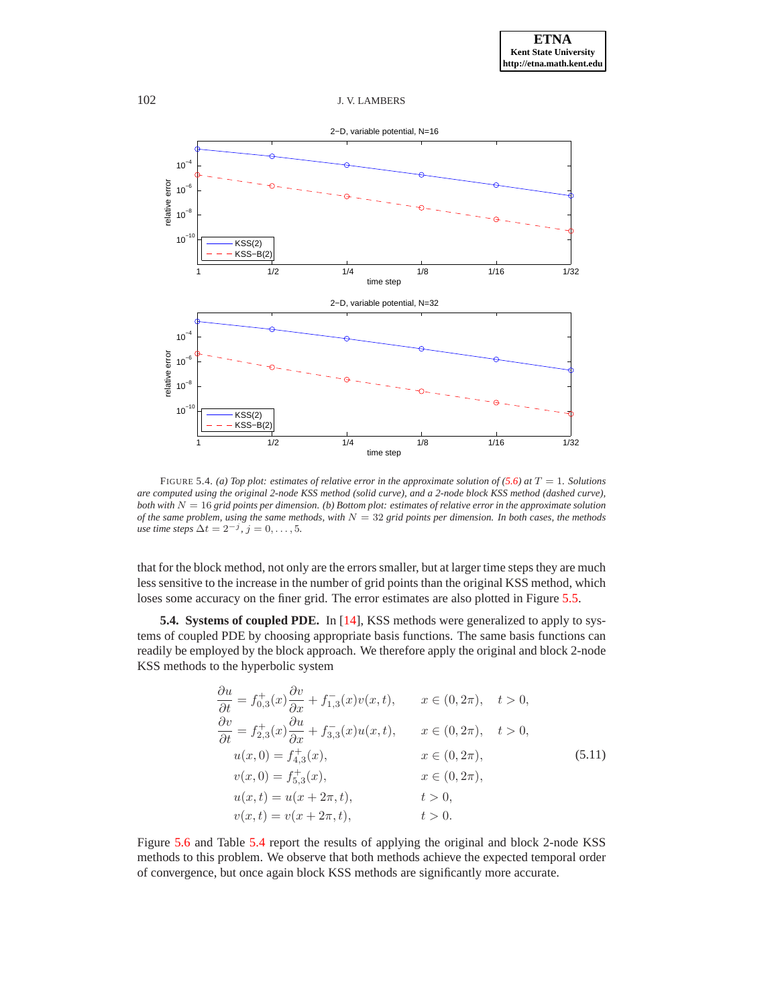

<span id="page-16-0"></span>FIGURE 5.4. *(a) Top plot: estimates of relative error in the approximate solution of*  $(5.6)$  *at*  $T = 1$ *. Solutions are computed using the original 2-node KSS method (solid curve), and a 2-node block KSS method (dashed curve), both with* N = 16 *grid points per dimension. (b) Bottom plot: estimates of relative error in the approximate solution of the same problem, using the same methods, with*  $N = 32$  *grid points per dimension. In both cases, the methods use time steps*  $\Delta t = 2^{-j}$ ,  $j = 0, \ldots, 5$ *.* 

that for the block method, not only are the errors smaller, but at larger time steps they are much less sensitive to the increase in the number of grid points than the original KSS method, which loses some accuracy on the finer grid. The error estimates are also plotted in Figure [5.5.](#page-18-0)

**5.4. Systems of coupled PDE.** In [\[14\]](#page-22-4), KSS methods were generalized to apply to systems of coupled PDE by choosing appropriate basis functions. The same basis functions can readily be employed by the block approach. We therefore apply the original and block 2-node KSS methods to the hyperbolic system

$$
\frac{\partial u}{\partial t} = f_{0,3}^+(x) \frac{\partial v}{\partial x} + f_{1,3}^-(x) v(x, t), \qquad x \in (0, 2\pi), \quad t > 0,\n\frac{\partial v}{\partial t} = f_{2,3}^+(x) \frac{\partial u}{\partial x} + f_{3,3}^-(x) u(x, t), \qquad x \in (0, 2\pi), \quad t > 0,\nu(x, 0) = f_{4,3}^+(x), \qquad x \in (0, 2\pi),\nv(x, 0) = f_{5,3}^+(x), \qquad x \in (0, 2\pi),\nu(x, t) = u(x + 2\pi, t), \qquad t > 0,\nv(x, t) = v(x + 2\pi, t), \qquad t > 0.
$$
\n(5.11)

<span id="page-16-1"></span>Figure [5.6](#page-20-0) and Table [5.4](#page-21-10) report the results of applying the original and block 2-node KSS methods to this problem. We observe that both methods achieve the expected temporal order of convergence, but once again block KSS methods are significantly more accurate.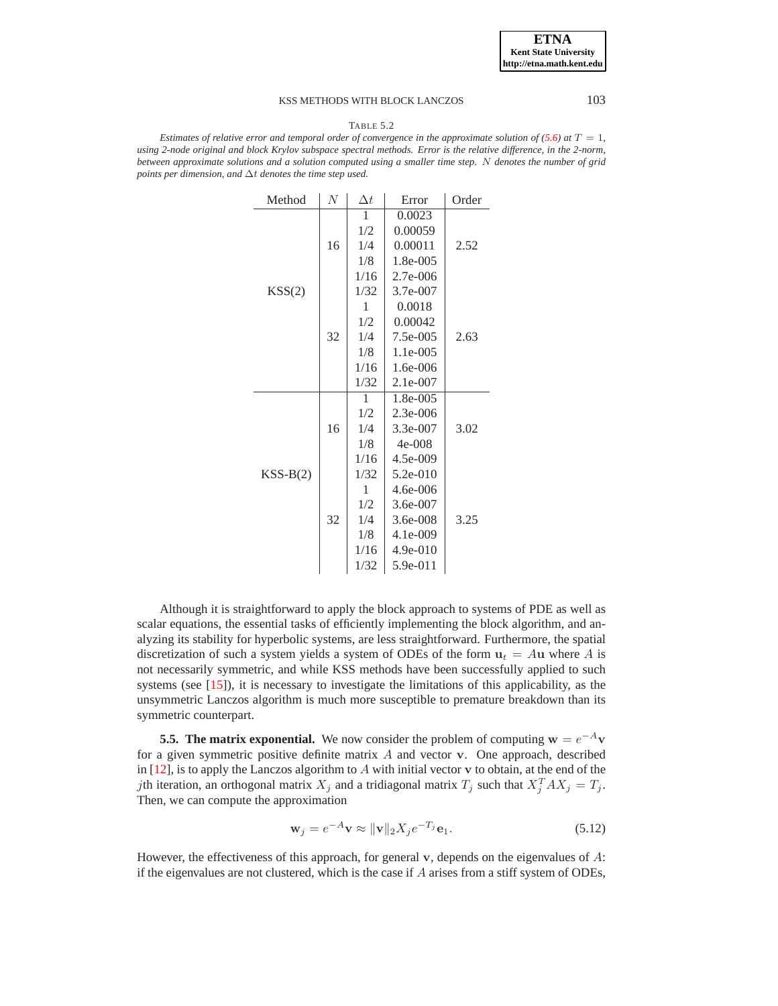#### TABLE 5.2

<span id="page-17-0"></span>*Estimates of relative error and temporal order of convergence in the approximate solution of*  $(5.6)$  *at*  $T = 1$ , *using 2-node original and block Krylov subspace spectral methods. Error is the relative difference, in the 2-norm, between approximate solutions and a solution computed using a smaller time step.* N *denotes the number of grid points per dimension, and* ∆t *denotes the time step used.*

| Method     | N  | $\Delta t$ | Error      | Order |
|------------|----|------------|------------|-------|
|            |    | 1          | 0.0023     |       |
|            |    | 1/2        | 0.00059    |       |
|            | 16 | 1/4        | 0.00011    | 2.52  |
|            |    | 1/8        | 1.8e-005   |       |
|            |    | 1/16       | 2.7e-006   |       |
| KSS(2)     |    | 1/32       | 3.7e-007   |       |
|            |    | 1          | 0.0018     |       |
|            |    | 1/2        | 0.00042    |       |
|            | 32 | 1/4        | 7.5e-005   | 2.63  |
|            |    | 1/8        | 1.1e-005   |       |
|            |    | 1/16       | 1.6e-006   |       |
|            |    | 1/32       | 2.1e-007   |       |
|            |    | 1          | 1.8e-005   |       |
|            |    | 1/2        | $2.3e-006$ |       |
|            | 16 | 1/4        | 3.3e-007   | 3.02  |
|            |    | 1/8        | $4e - 008$ |       |
|            |    | 1/16       | 4.5e-009   |       |
| $KSS-B(2)$ |    | 1/32       | $5.2e-010$ |       |
|            |    | 1          | 4.6e-006   |       |
|            | 32 | 1/2        | 3.6e-007   |       |
|            |    | 1/4        | 3.6e-008   | 3.25  |
|            |    | 1/8        | 4.1e-009   |       |
|            |    | 1/16       | 4.9e-010   |       |
|            |    | 1/32       | 5.9e-011   |       |

Although it is straightforward to apply the block approach to systems of PDE as well as scalar equations, the essential tasks of efficiently implementing the block algorithm, and analyzing its stability for hyperbolic systems, are less straightforward. Furthermore, the spatial discretization of such a system yields a system of ODEs of the form  $u_t = Au$  where A is not necessarily symmetric, and while KSS methods have been successfully applied to such systems (see [\[15\]](#page-22-0)), it is necessary to investigate the limitations of this applicability, as the unsymmetric Lanczos algorithm is much more susceptible to premature breakdown than its symmetric counterpart.

**5.5. The matrix exponential.** We now consider the problem of computing  $w = e^{-A}v$ for a given symmetric positive definite matrix  $A$  and vector  $v$ . One approach, described in  $[12]$ , is to apply the Lanczos algorithm to A with initial vector v to obtain, at the end of the *j*th iteration, an orthogonal matrix  $X_j$  and a tridiagonal matrix  $T_j$  such that  $X_j^T A X_j = T_j$ . Then, we can compute the approximation

$$
\mathbf{w}_j = e^{-A}\mathbf{v} \approx \|\mathbf{v}\|_2 X_j e^{-T_j} \mathbf{e}_1.
$$
 (5.12)

<span id="page-17-1"></span>However, the effectiveness of this approach, for general  $\bf{v}$ , depends on the eigenvalues of  $\bf{A}$ : if the eigenvalues are not clustered, which is the case if  $A$  arises from a stiff system of ODEs,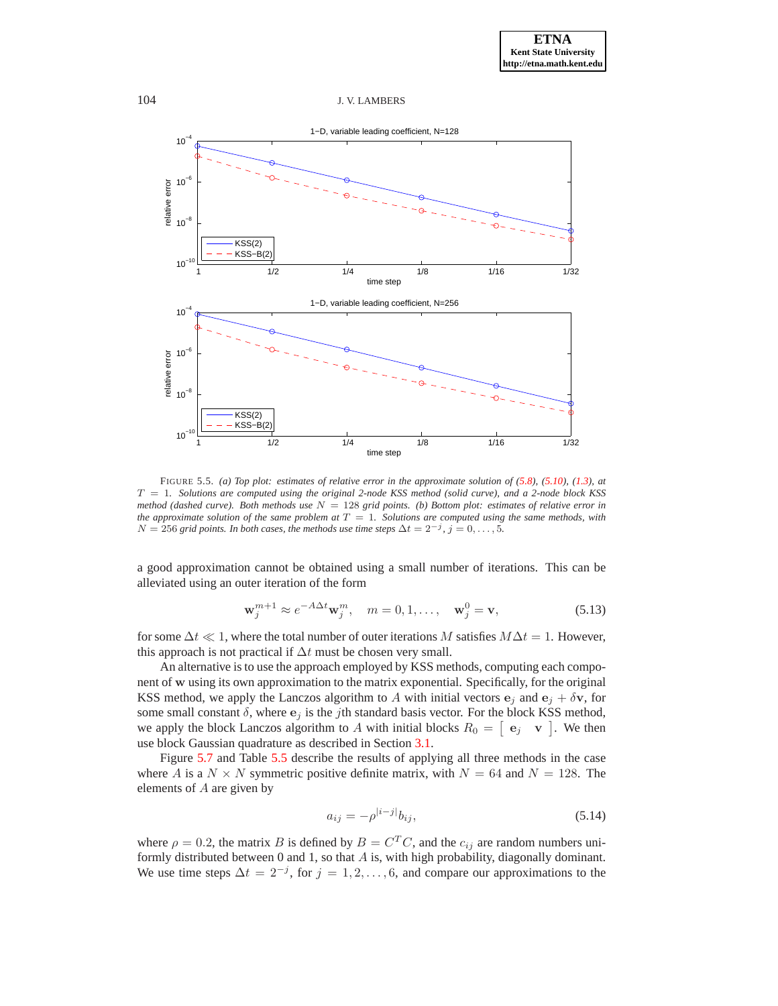

<span id="page-18-0"></span>FIGURE 5.5. *(a) Top plot: estimates of relative error in the approximate solution of [\(5.8\)](#page-15-2), [\(5.10\)](#page-15-3), [\(1.3\)](#page-0-1), at* T = 1*. Solutions are computed using the original 2-node KSS method (solid curve), and a 2-node block KSS method (dashed curve). Both methods use* N = 128 *grid points. (b) Bottom plot: estimates of relative error in the approximate solution of the same problem at*  $T = 1$ *. Solutions are computed using the same methods, with*  $N = 256$  *grid points. In both cases, the methods use time steps*  $\Delta t = 2^{-j}$ ,  $j = 0, \ldots, 5$ *.* 

a good approximation cannot be obtained using a small number of iterations. This can be alleviated using an outer iteration of the form

$$
\mathbf{w}_j^{m+1} \approx e^{-A\Delta t} \mathbf{w}_j^m, \quad m = 0, 1, \dots, \quad \mathbf{w}_j^0 = \mathbf{v}, \tag{5.13}
$$

<span id="page-18-2"></span>for some  $\Delta t \ll 1$ , where the total number of outer iterations M satisfies  $M\Delta t = 1$ . However, this approach is not practical if  $\Delta t$  must be chosen very small.

An alternative is to use the approach employed by KSS methods, computing each component of w using its own approximation to the matrix exponential. Specifically, for the original KSS method, we apply the Lanczos algorithm to A with initial vectors  $e_i$  and  $e_i + \delta v$ , for some small constant  $\delta$ , where  $\mathbf{e}_i$  is the jth standard basis vector. For the block KSS method, we apply the block Lanczos algorithm to A with initial blocks  $R_0 = [\begin{array}{cc} \mathbf{e}_j & \mathbf{v} \end{array}]$ . We then use block Gaussian quadrature as described in Section [3.1.](#page-4-2)

Figure [5.7](#page-22-7) and Table [5.5](#page-23-0) describe the results of applying all three methods in the case where A is a  $N \times N$  symmetric positive definite matrix, with  $N = 64$  and  $N = 128$ . The elements of A are given by

<span id="page-18-1"></span>
$$
a_{ij} = -\rho^{|i-j|} b_{ij},\tag{5.14}
$$

where  $\rho = 0.2$ , the matrix B is defined by  $B = C^T C$ , and the  $c_{ij}$  are random numbers uniformly distributed between  $0$  and  $1$ , so that  $A$  is, with high probability, diagonally dominant. We use time steps  $\Delta t = 2^{-j}$ , for  $j = 1, 2, ..., 6$ , and compare our approximations to the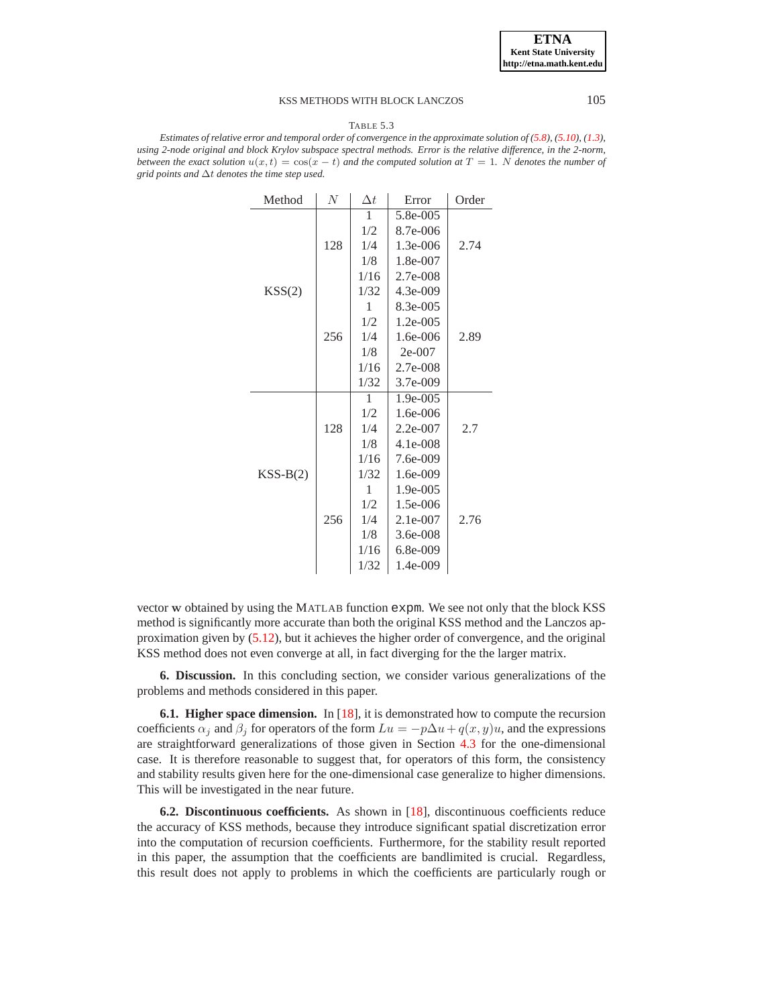#### TABLE 5.3

<span id="page-19-1"></span>*Estimates of relative error and temporal order of convergence in the approximate solution of [\(5.8\)](#page-15-2), [\(5.10\)](#page-15-3), [\(1.3\)](#page-0-1), using 2-node original and block Krylov subspace spectral methods. Error is the relative difference, in the 2-norm, between the exact solution*  $u(x, t) = \cos(x - t)$  *and the computed solution at*  $T = 1$ *. N denotes the number of grid points and* ∆t *denotes the time step used.*

| Method     | N   | $\Delta t$ | Error      | Order |
|------------|-----|------------|------------|-------|
|            | 128 | 1          | 5.8e-005   |       |
|            |     | 1/2        | 8.7e-006   |       |
|            |     | 1/4        | 1.3e-006   | 2.74  |
|            |     | 1/8        | 1.8e-007   |       |
|            |     | 1/16       | 2.7e-008   |       |
| KSS(2)     |     | 1/32       | 4.3e-009   |       |
|            |     | 1          | 8.3e-005   |       |
|            |     | 1/2        | 1.2e-005   |       |
|            | 256 | 1/4        | 1.6e-006   | 2.89  |
|            |     | 1/8        | $2e-007$   |       |
|            |     | 1/16       | 2.7e-008   |       |
|            |     | 1/32       | 3.7e-009   |       |
|            | 128 | 1          | 1.9e-005   |       |
|            |     | 1/2        | 1.6e-006   |       |
|            |     | 1/4        | $2.2e-007$ | 2.7   |
|            |     | 1/8        | 4.1e-008   |       |
|            |     | 1/16       | 7.6e-009   |       |
| $KSS-B(2)$ | 256 | 1/32       | 1.6e-009   |       |
|            |     | 1          | 1.9e-005   |       |
|            |     | 1/2        | 1.5e-006   |       |
|            |     | 1/4        | 2.1e-007   | 2.76  |
|            |     | 1/8        | 3.6e-008   |       |
|            |     | 1/16       | 6.8e-009   |       |
|            |     | 1/32       | 1.4e-009   |       |

vector w obtained by using the MATLAB function expm. We see not only that the block KSS method is significantly more accurate than both the original KSS method and the Lanczos approximation given by [\(5.12\)](#page-17-1), but it achieves the higher order of convergence, and the original KSS method does not even converge at all, in fact diverging for the the larger matrix.

<span id="page-19-0"></span>**6. Discussion.** In this concluding section, we consider various generalizations of the problems and methods considered in this paper.

**6.1. Higher space dimension.** In [\[18\]](#page-22-5), it is demonstrated how to compute the recursion coefficients  $\alpha_i$  and  $\beta_i$  for operators of the form  $Lu = -p\Delta u + q(x, y)u$ , and the expressions are straightforward generalizations of those given in Section [4.3](#page-9-0) for the one-dimensional case. It is therefore reasonable to suggest that, for operators of this form, the consistency and stability results given here for the one-dimensional case generalize to higher dimensions. This will be investigated in the near future.

**6.2. Discontinuous coefficients.** As shown in [\[18\]](#page-22-5), discontinuous coefficients reduce the accuracy of KSS methods, because they introduce significant spatial discretization error into the computation of recursion coefficients. Furthermore, for the stability result reported in this paper, the assumption that the coefficients are bandlimited is crucial. Regardless, this result does not apply to problems in which the coefficients are particularly rough or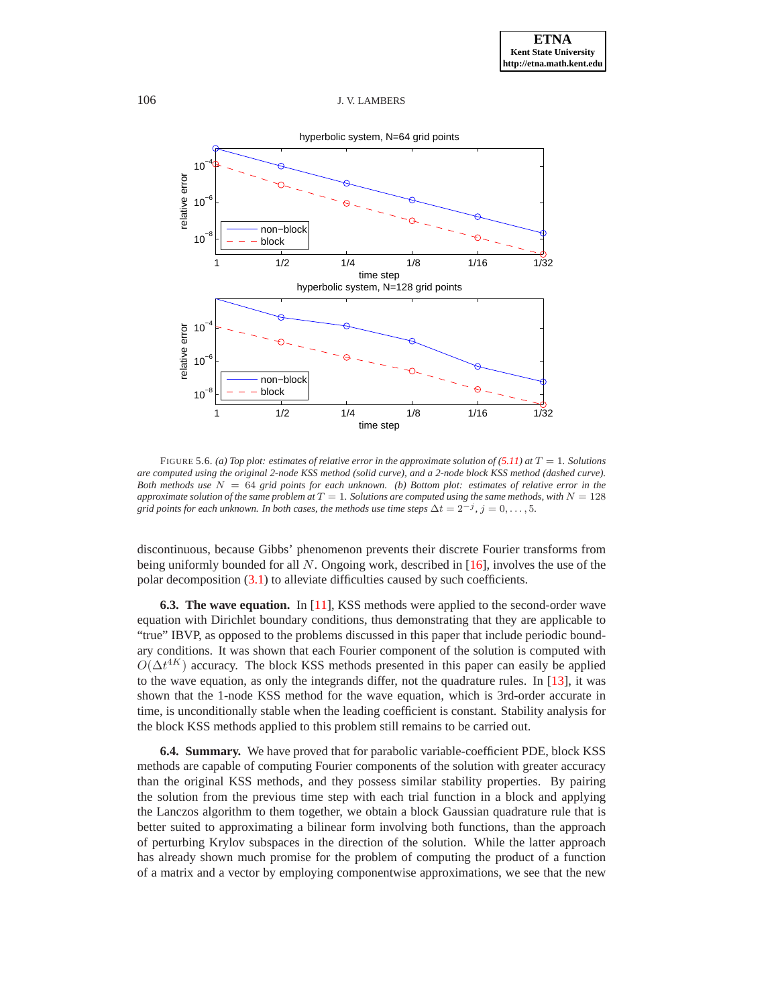

<span id="page-20-0"></span>FIGURE 5.6. *(a) Top plot: estimates of relative error in the approximate solution of*  $(5.11)$  *at*  $T = 1$ *<i>. Solutions are computed using the original 2-node KSS method (solid curve), and a 2-node block KSS method (dashed curve). Both methods use* N = 64 *grid points for each unknown. (b) Bottom plot: estimates of relative error in the approximate solution of the same problem at*  $T = 1$ *. Solutions are computed using the same methods, with*  $N = 128$ *grid points for each unknown. In both cases, the methods use time steps*  $\Delta t = 2^{-j}$ ,  $j = 0, \ldots, 5$ .

discontinuous, because Gibbs' phenomenon prevents their discrete Fourier transforms from being uniformly bounded for all N. Ongoing work, described in [\[16\]](#page-22-8), involves the use of the polar decomposition  $(3.1)$  to alleviate difficulties caused by such coefficients.

**6.3. The wave equation.** In [\[11\]](#page-21-11), KSS methods were applied to the second-order wave equation with Dirichlet boundary conditions, thus demonstrating that they are applicable to "true" IBVP, as opposed to the problems discussed in this paper that include periodic boundary conditions. It was shown that each Fourier component of the solution is computed with  $O(\Delta t^{4K})$  accuracy. The block KSS methods presented in this paper can easily be applied to the wave equation, as only the integrands differ, not the quadrature rules. In [\[13\]](#page-22-3), it was shown that the 1-node KSS method for the wave equation, which is 3rd-order accurate in time, is unconditionally stable when the leading coefficient is constant. Stability analysis for the block KSS methods applied to this problem still remains to be carried out.

**6.4. Summary.** We have proved that for parabolic variable-coefficient PDE, block KSS methods are capable of computing Fourier components of the solution with greater accuracy than the original KSS methods, and they possess similar stability properties. By pairing the solution from the previous time step with each trial function in a block and applying the Lanczos algorithm to them together, we obtain a block Gaussian quadrature rule that is better suited to approximating a bilinear form involving both functions, than the approach of perturbing Krylov subspaces in the direction of the solution. While the latter approach has already shown much promise for the problem of computing the product of a function of a matrix and a vector by employing componentwise approximations, we see that the new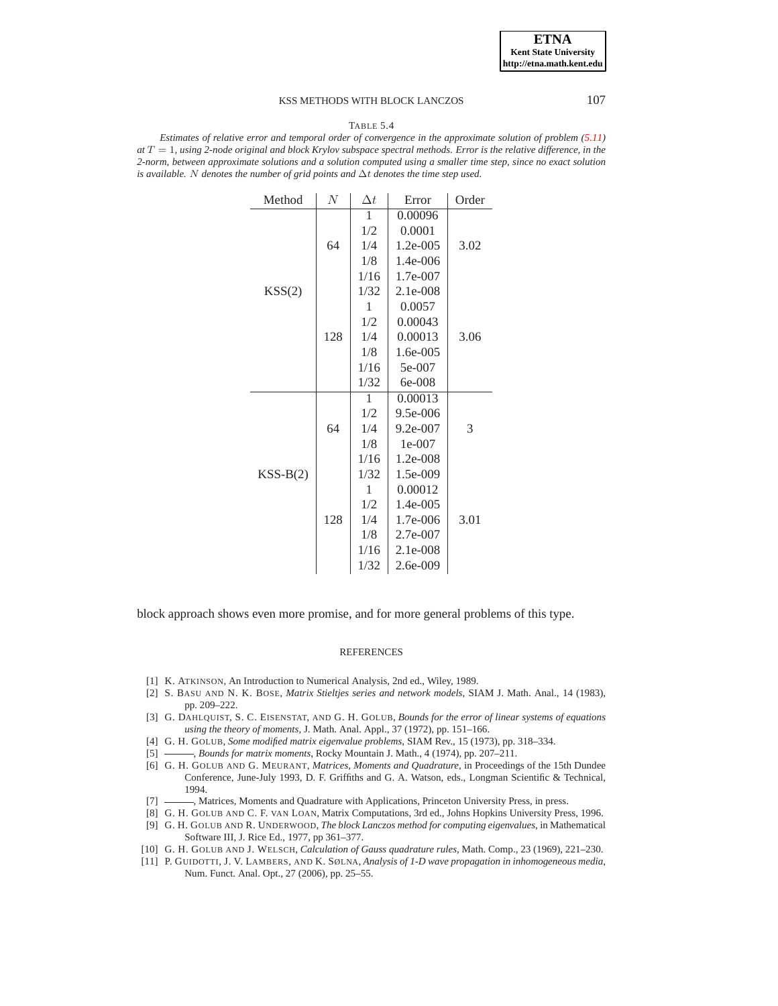**ETNA Kent State University http://etna.math.kent.edu**

## KSS METHODS WITH BLOCK LANCZOS 107

#### TABLE 5.4

<span id="page-21-10"></span>*Estimates of relative error and temporal order of convergence in the approximate solution of problem [\(5.11\)](#page-16-1) at* T = 1*, using 2-node original and block Krylov subspace spectral methods. Error is the relative difference, in the 2-norm, between approximate solutions and a solution computed using a smaller time step, since no exact solution is available.* N *denotes the number of grid points and* ∆t *denotes the time step used.*

| Method     | N   | $\Delta t$ | Error        | Order |
|------------|-----|------------|--------------|-------|
|            | 64  | 1          | 0.00096      |       |
|            |     | 1/2        | 0.0001       |       |
|            |     | 1/4        | $1.2e-005$   | 3.02  |
|            |     | 1/8        | $1.4e - 006$ |       |
|            |     | 1/16       | 1.7e-007     |       |
| KSS(2)     |     | 1/32       | $2.1e-008$   |       |
|            |     | 1          | 0.0057       |       |
|            |     | 1/2        | 0.00043      |       |
|            | 128 | 1/4        | 0.00013      | 3.06  |
|            |     | 1/8        | 1.6e-005     |       |
|            |     | 1/16       | 5e-007       |       |
|            |     | 1/32       | 6e-008       |       |
|            |     | 1          | 0.00013      |       |
|            | 64  | 1/2        | 9.5e-006     |       |
|            |     | 1/4        | 9.2e-007     | 3     |
|            |     | 1/8        | $1e-007$     |       |
| $KSS-B(2)$ |     | 1/16       | 1.2e-008     |       |
|            | 128 | 1/32       | 1.5e-009     |       |
|            |     | 1          | 0.00012      |       |
|            |     | 1/2        | 1.4e-005     |       |
|            |     | 1/4        | 1.7e-006     | 3.01  |
|            |     | 1/8        | 2.7e-007     |       |
|            |     | 1/16       | 2.1e-008     |       |
|            |     | 1/32       | $2.6e-009$   |       |

block approach shows even more promise, and for more general problems of this type.

#### **REFERENCES**

- <span id="page-21-9"></span><span id="page-21-5"></span>[1] K. ATKINSON, An Introduction to Numerical Analysis, 2nd ed., Wiley, 1989.
- [2] S. BASU AND N. K. BOSE, *Matrix Stieltjes series and network models*, SIAM J. Math. Anal., 14 (1983), pp. 209–222.
- <span id="page-21-1"></span>[3] G. DAHLQUIST, S. C. EISENSTAT, AND G. H. GOLUB, *Bounds for the error of linear systems of equations using the theory of moments*, J. Math. Anal. Appl., 37 (1972), pp. 151–166.
- <span id="page-21-3"></span><span id="page-21-2"></span>[4] G. H. GOLUB, *Some modified matrix eigenvalue problems*, SIAM Rev., 15 (1973), pp. 318–334.
- <span id="page-21-0"></span>[5] , *Bounds for matrix moments*, Rocky Mountain J. Math., 4 (1974), pp. 207–211.
- [6] G. H. GOLUB AND G. MEURANT, *Matrices, Moments and Quadrature*, in Proceedings of the 15th Dundee Conference, June-July 1993, D. F. Griffiths and G. A. Watson, eds., Longman Scientific & Technical, 1994.
- <span id="page-21-8"></span><span id="page-21-7"></span>[7]  $\frac{1}{2}$ , Matrices, Moments and Quadrature with Applications, Princeton University Press, in press.
- [8] G. H. GOLUB AND C. F. VAN LOAN, Matrix Computations, 3rd ed., Johns Hopkins University Press, 1996.
- <span id="page-21-6"></span>[9] G. H. GOLUB AND R. UNDERWOOD, *The block Lanczos method for computing eigenvalues*, in Mathematical Software III, J. Rice Ed., 1977, pp 361–377.
- <span id="page-21-11"></span><span id="page-21-4"></span>[10] G. H. GOLUB AND J. WELSCH, *Calculation of Gauss quadrature rules*, Math. Comp., 23 (1969), 221–230.
- [11] P. GUIDOTTI, J. V. LAMBERS, AND K. SØLNA, *Analysis of 1-D wave propagation in inhomogeneous media*, Num. Funct. Anal. Opt., 27 (2006), pp. 25–55.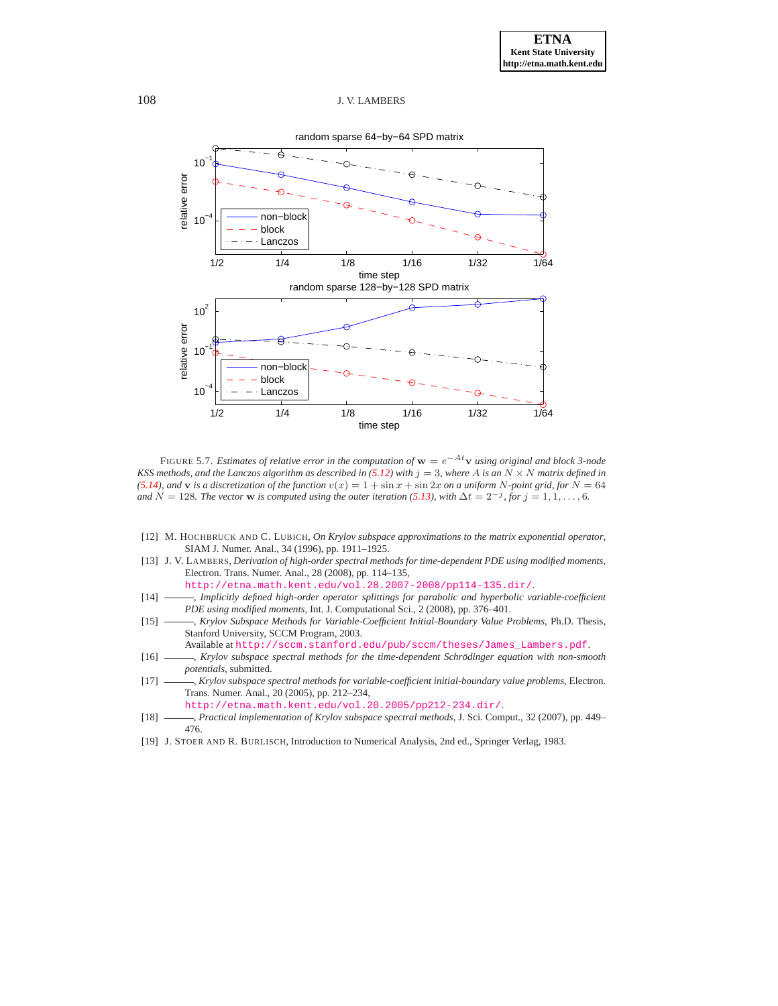

<span id="page-22-7"></span>FIGURE 5.7. *Estimates of relative error in the computation of* w = e−Atv *using original and block 3-node KSS methods, and the Lanczos algorithm as described in* [\(5.12\)](#page-17-1) with  $j = 3$ , where A is an  $N \times N$  *matrix defined in [\(5.14\)](#page-18-1), and* **v** *is a discretization of the function*  $v(x) = 1 + \sin x + \sin 2x$  *on a uniform* N-point grid, for N = 64 *and*  $N = 128$ *. The vector* w *is computed using the outer iteration* [\(5.13\)](#page-18-2)*, with*  $\Delta t = 2^{-j}$ *, for*  $j = 1, 1, ..., 6$ *.* 

- <span id="page-22-2"></span>[12] M. HOCHBRUCK AND C. LUBICH, *On Krylov subspace approximations to the matrix exponential operator*, SIAM J. Numer. Anal., 34 (1996), pp. 1911–1925.
- <span id="page-22-3"></span>[13] J. V. LAMBERS, *Derivation of high-order spectral methods for time-dependent PDE using modified moments*, Electron. Trans. Numer. Anal., 28 (2008), pp. 114–135,
	- <http://etna.math.kent.edu/vol.28.2007-2008/pp114-135.dir/>.
- <span id="page-22-4"></span>[14] - *Implicitly defined high-order operator splittings for parabolic and hyperbolic variable-coefficient PDE using modified moments*, Int. J. Computational Sci., 2 (2008), pp. 376–401.
- <span id="page-22-0"></span>[15] , *Krylov Subspace Methods for Variable-Coefficient Initial-Boundary Value Problems*, Ph.D. Thesis, Stanford University, SCCM Program, 2003.
	- Available at [http://sccm.stanford.edu/pub/sccm/theses/James\\_Lambers.pdf](http://sccm.stanford.edu/pub/sccm/theses/James_Lambers.pdf).
- <span id="page-22-8"></span>[16] - *Krylov subspace spectral methods for the time-dependent Schrödinger equation with non-smooth potentials*, submitted.
- <span id="page-22-1"></span>[17] , *Krylov subspace spectral methods for variable-coefficient initial-boundary value problems*, Electron. Trans. Numer. Anal., 20 (2005), pp. 212–234,

<http://etna.math.kent.edu/vol.20.2005/pp212-234.dir/>.

- <span id="page-22-5"></span>[18] , *Practical implementation of Krylov subspace spectral methods*, J. Sci. Comput., 32 (2007), pp. 449– 476.
- <span id="page-22-6"></span>[19] J. STOER AND R. BURLISCH, Introduction to Numerical Analysis, 2nd ed., Springer Verlag, 1983.